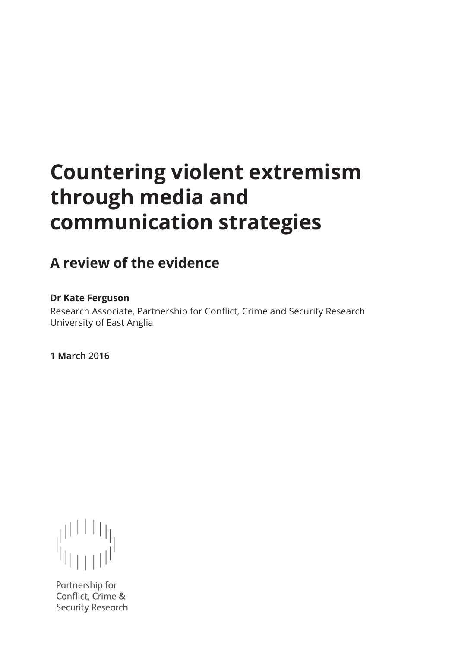# **Countering violent extremism through media and communication strategies**

# **A review of the evidence**

# **Dr Kate Ferguson**

Research Associate, Partnership for Conflict, Crime and Security Research University of East Anglia

**1 March 2016**

Partnership for Conflict, Crime & **Security Research**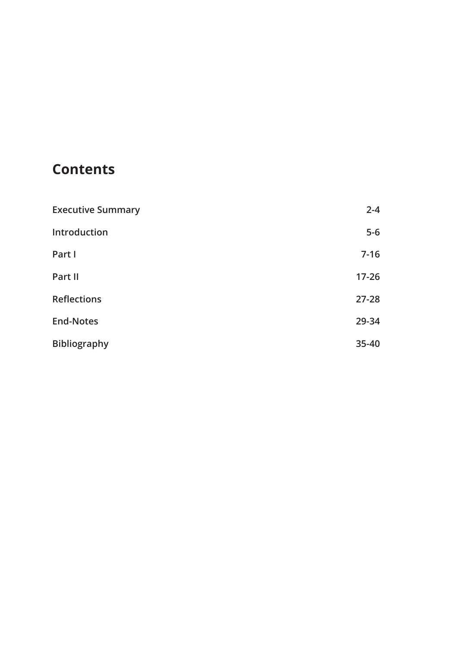# **Contents**

| <b>Executive Summary</b> | $2 - 4$   |
|--------------------------|-----------|
| Introduction             | $5-6$     |
| Part I                   | $7 - 16$  |
| Part II                  | $17 - 26$ |
| <b>Reflections</b>       | $27 - 28$ |
| <b>End-Notes</b>         | 29-34     |
| <b>Bibliography</b>      | 35-40     |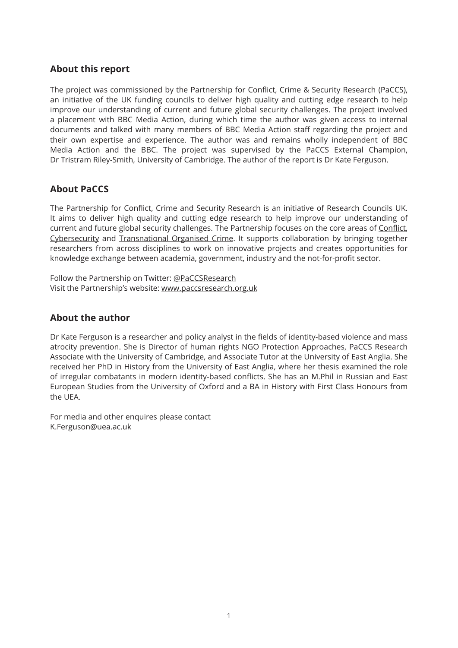# **About this report**

The project was commissioned by the Partnership for Conflict, Crime & Security Research (PaCCS), an initiative of the UK funding councils to deliver high quality and cutting edge research to help improve our understanding of current and future global security challenges. The project involved a placement with BBC Media Action, during which time the author was given access to internal documents and talked with many members of BBC Media Action staff regarding the project and their own expertise and experience. The author was and remains wholly independent of BBC Media Action and the BBC. The project was supervised by the PaCCS External Champion, Dr Tristram Riley-Smith, University of Cambridge. The author of the report is Dr Kate Ferguson.

# **About PaCCS**

The Partnership for Conflict, Crime and Security Research is an initiative of Research Councils UK. It aims to deliver high quality and cutting edge research to help improve our understanding of current and future global security challenges. The Partnership focuses on the core areas of Conflict, Cybersecurity and Transnational Organised Crime. It supports collaboration by bringing together researchers from across disciplines to work on innovative projects and creates opportunities for knowledge exchange between academia, government, industry and the not-for-profit sector.

Follow the Partnership on Twitter: @PaCCSResearch Visit the Partnership's website: www.paccsresearch.org.uk

# **About the author**

Dr Kate Ferguson is a researcher and policy analyst in the fields of identity-based violence and mass atrocity prevention. She is Director of human rights NGO Protection Approaches, PaCCS Research Associate with the University of Cambridge, and Associate Tutor at the University of East Anglia. She received her PhD in History from the University of East Anglia, where her thesis examined the role of irregular combatants in modern identity-based conflicts. She has an M.Phil in Russian and East European Studies from the University of Oxford and a BA in History with First Class Honours from the UEA.

For media and other enquires please contact K.Ferguson@uea.ac.uk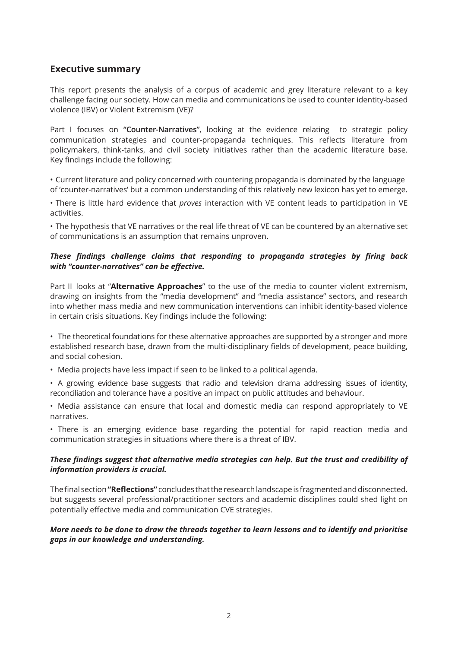# **Executive summary**

This report presents the analysis of a corpus of academic and grey literature relevant to a key challenge facing our society. How can media and communications be used to counter identity-based violence (IBV) or Violent Extremism (VE)?

Part I focuses on **"Counter-Narratives"**, looking at the evidence relating to strategic policy communication strategies and counter-propaganda techniques. This reflects literature from policymakers, think-tanks, and civil society initiatives rather than the academic literature base. Key findings include the following:

• Current literature and policy concerned with countering propaganda is dominated by the language of 'counter-narratives' but a common understanding of this relatively new lexicon has yet to emerge.

• There is little hard evidence that *proves* interaction with VE content leads to participation in VE activities.

• The hypothesis that VE narratives or the real life threat of VE can be countered by an alternative set of communications is an assumption that remains unproven.

#### *These findings challenge claims that responding to propaganda strategies by firing back with "counter-narratives" can be effective.*

Part II looks at "**Alternative Approaches**" to the use of the media to counter violent extremism, drawing on insights from the "media development" and "media assistance" sectors, and research into whether mass media and new communication interventions can inhibit identity-based violence in certain crisis situations. Key findings include the following:

• The theoretical foundations for these alternative approaches are supported by a stronger and more established research base, drawn from the multi-disciplinary fields of development, peace building, and social cohesion.

• Media projects have less impact if seen to be linked to a political agenda.

• A growing evidence base suggests that radio and television drama addressing issues of identity, reconciliation and tolerance have a positive an impact on public attitudes and behaviour.

• Media assistance can ensure that local and domestic media can respond appropriately to VE narratives.

• There is an emerging evidence base regarding the potential for rapid reaction media and communication strategies in situations where there is a threat of IBV.

#### *These findings suggest that alternative media strategies can help. But the trust and credibility of information providers is crucial.*

The final section **"Reflections"** concludes that the research landscape is fragmented and disconnected. but suggests several professional/practitioner sectors and academic disciplines could shed light on potentially effective media and communication CVE strategies.

#### *More needs to be done to draw the threads together to learn lessons and to identify and prioritise gaps in our knowledge and understanding.*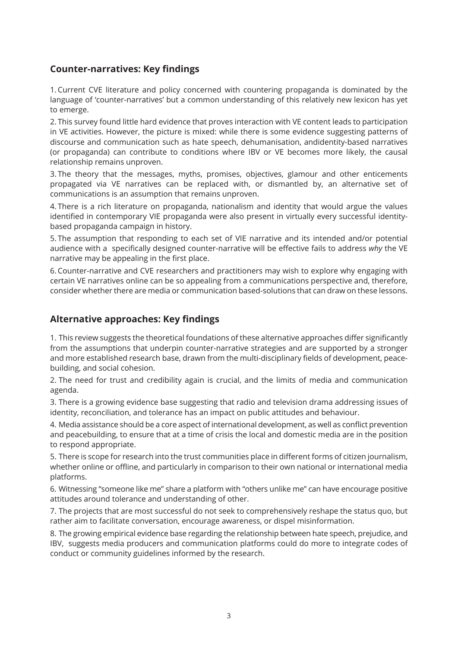# **Counter-narratives: Key findings**

1.Current CVE literature and policy concerned with countering propaganda is dominated by the language of 'counter-narratives' but a common understanding of this relatively new lexicon has yet to emerge.

2. This survey found little hard evidence that proves interaction with VE content leads to participation in VE activities. However, the picture is mixed: while there is some evidence suggesting patterns of discourse and communication such as hate speech, dehumanisation, andidentity-based narratives (or propaganda) can contribute to conditions where IBV or VE becomes more likely, the causal relationship remains unproven.

3. The theory that the messages, myths, promises, objectives, glamour and other enticements propagated via VE narratives can be replaced with, or dismantled by, an alternative set of communications is an assumption that remains unproven.

4. There is a rich literature on propaganda, nationalism and identity that would argue the values identified in contemporary VIE propaganda were also present in virtually every successful identitybased propaganda campaign in history.

5. The assumption that responding to each set of VIE narrative and its intended and/or potential audience with a specifically designed counter-narrative will be effective fails to address *why* the VE narrative may be appealing in the first place.

6.Counter-narrative and CVE researchers and practitioners may wish to explore why engaging with certain VE narratives online can be so appealing from a communications perspective and, therefore, consider whether there are media or communication based-solutions that can draw on these lessons.

#### **Alternative approaches: Key findings**

1. This review suggests the theoretical foundations of these alternative approaches differ significantly from the assumptions that underpin counter-narrative strategies and are supported by a stronger and more established research base, drawn from the multi-disciplinary fields of development, peacebuilding, and social cohesion.

2. The need for trust and credibility again is crucial, and the limits of media and communication agenda.

3. There is a growing evidence base suggesting that radio and television drama addressing issues of identity, reconciliation, and tolerance has an impact on public attitudes and behaviour.

4. Media assistance should be a core aspect of international development, as well as conflict prevention and peacebuilding, to ensure that at a time of crisis the local and domestic media are in the position to respond appropriate.

5. There is scope for research into the trust communities place in different forms of citizen journalism, whether online or offline, and particularly in comparison to their own national or international media platforms.

6. Witnessing "someone like me" share a platform with "others unlike me" can have encourage positive attitudes around tolerance and understanding of other.

7. The projects that are most successful do not seek to comprehensively reshape the status quo, but rather aim to facilitate conversation, encourage awareness, or dispel misinformation.

8. The growing empirical evidence base regarding the relationship between hate speech, prejudice, and IBV, suggests media producers and communication platforms could do more to integrate codes of conduct or community guidelines informed by the research.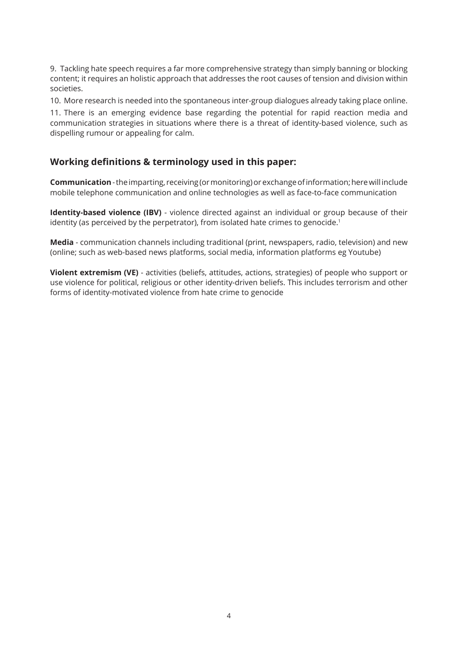9. Tackling hate speech requires a far more comprehensive strategy than simply banning or blocking content; it requires an holistic approach that addresses the root causes of tension and division within societies.

10. More research is needed into the spontaneous inter-group dialogues already taking place online.

11. There is an emerging evidence base regarding the potential for rapid reaction media and communication strategies in situations where there is a threat of identity-based violence, such as dispelling rumour or appealing for calm.

#### **Working definitions & terminology used in this paper:**

**Communication** - the imparting, receiving (or monitoring) or exchange of information; here will include mobile telephone communication and online technologies as well as face-to-face communication

**Identity-based violence (IBV)** - violence directed against an individual or group because of their identity (as perceived by the perpetrator), from isolated hate crimes to genocide.<sup>1</sup>

**Media** - communication channels including traditional (print, newspapers, radio, television) and new (online; such as web-based news platforms, social media, information platforms eg Youtube)

**Violent extremism (VE)** - activities (beliefs, attitudes, actions, strategies) of people who support or use violence for political, religious or other identity-driven beliefs. This includes terrorism and other forms of identity-motivated violence from hate crime to genocide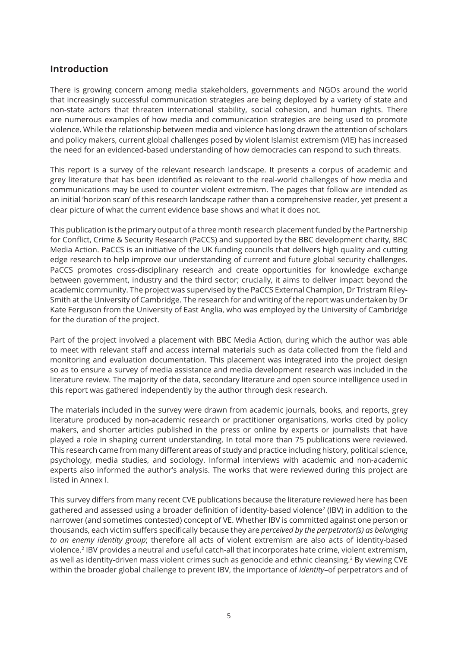# **Introduction**

There is growing concern among media stakeholders, governments and NGOs around the world that increasingly successful communication strategies are being deployed by a variety of state and non-state actors that threaten international stability, social cohesion, and human rights. There are numerous examples of how media and communication strategies are being used to promote violence. While the relationship between media and violence has long drawn the attention of scholars and policy makers, current global challenges posed by violent Islamist extremism (VIE) has increased the need for an evidenced-based understanding of how democracies can respond to such threats.

This report is a survey of the relevant research landscape. It presents a corpus of academic and grey literature that has been identified as relevant to the real-world challenges of how media and communications may be used to counter violent extremism. The pages that follow are intended as an initial 'horizon scan' of this research landscape rather than a comprehensive reader, yet present a clear picture of what the current evidence base shows and what it does not.

This publication is the primary output of a three month research placement funded by the Partnership for Conflict, Crime & Security Research (PaCCS) and supported by the BBC development charity, BBC Media Action. PaCCS is an initiative of the UK funding councils that delivers high quality and cutting edge research to help improve our understanding of current and future global security challenges. PaCCS promotes cross-disciplinary research and create opportunities for knowledge exchange between government, industry and the third sector; crucially, it aims to deliver impact beyond the academic community. The project was supervised by the PaCCS External Champion, Dr Tristram Riley-Smith at the University of Cambridge. The research for and writing of the report was undertaken by Dr Kate Ferguson from the University of East Anglia, who was employed by the University of Cambridge for the duration of the project.

Part of the project involved a placement with BBC Media Action, during which the author was able to meet with relevant staff and access internal materials such as data collected from the field and monitoring and evaluation documentation. This placement was integrated into the project design so as to ensure a survey of media assistance and media development research was included in the literature review. The majority of the data, secondary literature and open source intelligence used in this report was gathered independently by the author through desk research.

The materials included in the survey were drawn from academic journals, books, and reports, grey literature produced by non-academic research or practitioner organisations, works cited by policy makers, and shorter articles published in the press or online by experts or journalists that have played a role in shaping current understanding. In total more than 75 publications were reviewed. This research came from many different areas of study and practice including history, political science, psychology, media studies, and sociology. Informal interviews with academic and non-academic experts also informed the author's analysis. The works that were reviewed during this project are listed in Annex I.

This survey differs from many recent CVE publications because the literature reviewed here has been gathered and assessed using a broader definition of identity-based violence<sup>2</sup> (IBV) in addition to the narrower (and sometimes contested) concept of VE. Whether IBV is committed against one person or thousands, each victim suffers specifically because they are *perceived by the perpetrator(s) as belonging to an enemy identity group*; therefore all acts of violent extremism are also acts of identity-based violence.<sup>2</sup> IBV provides a neutral and useful catch-all that incorporates hate crime, violent extremism, as well as identity-driven mass violent crimes such as genocide and ethnic cleansing.<sup>3</sup> By viewing CVE within the broader global challenge to prevent IBV, the importance of *identity*–of perpetrators and of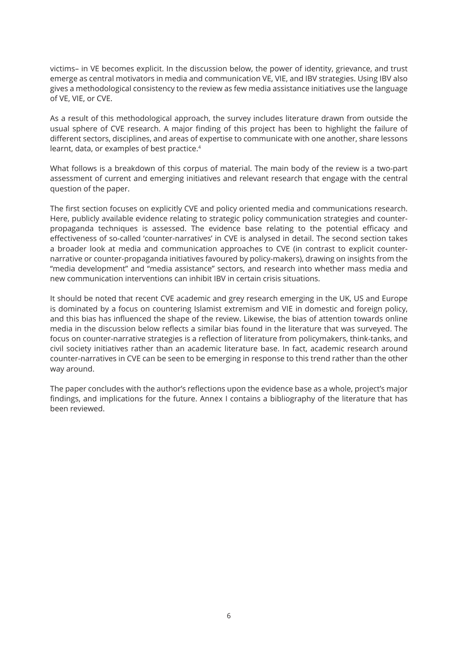victims– in VE becomes explicit. In the discussion below, the power of identity, grievance, and trust emerge as central motivators in media and communication VE, VIE, and IBV strategies. Using IBV also gives a methodological consistency to the review as few media assistance initiatives use the language of VE, VIE, or CVE.

As a result of this methodological approach, the survey includes literature drawn from outside the usual sphere of CVE research. A major finding of this project has been to highlight the failure of different sectors, disciplines, and areas of expertise to communicate with one another, share lessons learnt, data, or examples of best practice.<sup>4</sup>

What follows is a breakdown of this corpus of material. The main body of the review is a two-part assessment of current and emerging initiatives and relevant research that engage with the central question of the paper.

The first section focuses on explicitly CVE and policy oriented media and communications research. Here, publicly available evidence relating to strategic policy communication strategies and counterpropaganda techniques is assessed. The evidence base relating to the potential efficacy and effectiveness of so-called 'counter-narratives' in CVE is analysed in detail. The second section takes a broader look at media and communication approaches to CVE (in contrast to explicit counternarrative or counter-propaganda initiatives favoured by policy-makers), drawing on insights from the "media development" and "media assistance" sectors, and research into whether mass media and new communication interventions can inhibit IBV in certain crisis situations.

It should be noted that recent CVE academic and grey research emerging in the UK, US and Europe is dominated by a focus on countering Islamist extremism and VIE in domestic and foreign policy, and this bias has influenced the shape of the review. Likewise, the bias of attention towards online media in the discussion below reflects a similar bias found in the literature that was surveyed. The focus on counter-narrative strategies is a reflection of literature from policymakers, think-tanks, and civil society initiatives rather than an academic literature base. In fact, academic research around counter-narratives in CVE can be seen to be emerging in response to this trend rather than the other way around.

The paper concludes with the author's reflections upon the evidence base as a whole, project's major findings, and implications for the future. Annex I contains a bibliography of the literature that has been reviewed.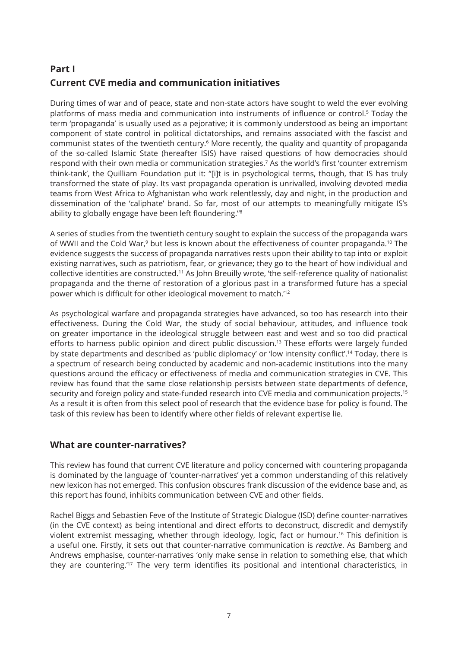# **Part I Current CVE media and communication initiatives**

During times of war and of peace, state and non-state actors have sought to weld the ever evolving platforms of mass media and communication into instruments of influence or control.<sup>5</sup> Today the term 'propaganda' is usually used as a pejorative; it is commonly understood as being an important component of state control in political dictatorships, and remains associated with the fascist and communist states of the twentieth century.<sup>6</sup> More recently, the quality and quantity of propaganda of the so-called Islamic State (hereafter ISIS) have raised questions of how democracies should respond with their own media or communication strategies.<sup>7</sup> As the world's first 'counter extremism think-tank', the Quilliam Foundation put it: "[i]t is in psychological terms, though, that IS has truly transformed the state of play. Its vast propaganda operation is unrivalled, involving devoted media teams from West Africa to Afghanistan who work relentlessly, day and night, in the production and dissemination of the 'caliphate' brand. So far, most of our attempts to meaningfully mitigate IS's ability to globally engage have been left floundering."<sup>8</sup>

A series of studies from the twentieth century sought to explain the success of the propaganda wars of WWII and the Cold War,<sup>9</sup> but less is known about the effectiveness of counter propaganda.<sup>10</sup> The evidence suggests the success of propaganda narratives rests upon their ability to tap into or exploit existing narratives, such as patriotism, fear, or grievance; they go to the heart of how individual and collective identities are constructed.<sup>11</sup> As John Breuilly wrote, 'the self-reference quality of nationalist propaganda and the theme of restoration of a glorious past in a transformed future has a special power which is difficult for other ideological movement to match.'<sup>12</sup>

As psychological warfare and propaganda strategies have advanced, so too has research into their effectiveness. During the Cold War, the study of social behaviour, attitudes, and influence took on greater importance in the ideological struggle between east and west and so too did practical efforts to harness public opinion and direct public discussion.<sup>13</sup> These efforts were largely funded by state departments and described as 'public diplomacy' or 'low intensity conflict'.<sup>14</sup> Today, there is a spectrum of research being conducted by academic and non-academic institutions into the many questions around the efficacy or effectiveness of media and communication strategies in CVE. This review has found that the same close relationship persists between state departments of defence, security and foreign policy and state-funded research into CVE media and communication projects.<sup>15</sup> As a result it is often from this select pool of research that the evidence base for policy is found. The task of this review has been to identify where other fields of relevant expertise lie.

#### **What are counter-narratives?**

This review has found that current CVE literature and policy concerned with countering propaganda is dominated by the language of 'counter-narratives' yet a common understanding of this relatively new lexicon has not emerged. This confusion obscures frank discussion of the evidence base and, as this report has found, inhibits communication between CVE and other fields.

Rachel Biggs and Sebastien Feve of the Institute of Strategic Dialogue (ISD) define counter-narratives (in the CVE context) as being intentional and direct efforts to deconstruct, discredit and demystify violent extremist messaging, whether through ideology, logic, fact or humour.<sup>16</sup> This definition is a useful one. Firstly, it sets out that counter-narrative communication is *reactive*. As Bamberg and Andrews emphasise, counter-narratives 'only make sense in relation to something else, that which they are countering.<sup>'17</sup> The very term identifies its positional and intentional characteristics, in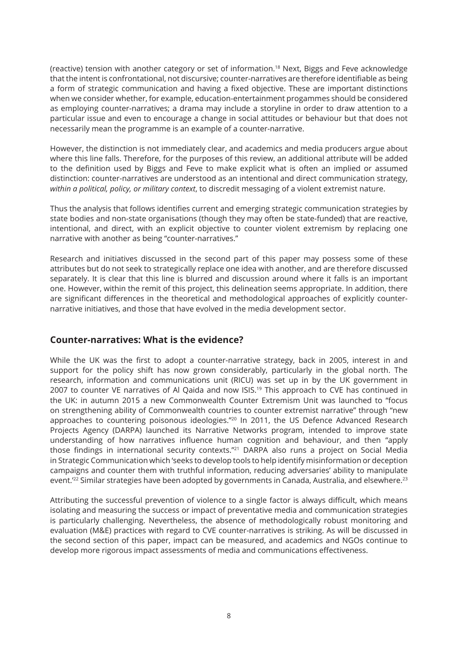(reactive) tension with another category or set of information.<sup>18</sup> Next, Biggs and Feve acknowledge that the intent is confrontational, not discursive; counter-narratives are therefore identifiable as being a form of strategic communication and having a fixed objective. These are important distinctions when we consider whether, for example, education-entertainment progammes should be considered as employing counter-narratives; a drama may include a storyline in order to draw attention to a particular issue and even to encourage a change in social attitudes or behaviour but that does not necessarily mean the programme is an example of a counter-narrative.

However, the distinction is not immediately clear, and academics and media producers argue about where this line falls. Therefore, for the purposes of this review, an additional attribute will be added to the definition used by Biggs and Feve to make explicit what is often an implied or assumed distinction: counter-narratives are understood as an intentional and direct communication strategy, *within a political, policy, or military context*, to discredit messaging of a violent extremist nature.

Thus the analysis that follows identifies current and emerging strategic communication strategies by state bodies and non-state organisations (though they may often be state-funded) that are reactive, intentional, and direct, with an explicit objective to counter violent extremism by replacing one narrative with another as being "counter-narratives."

Research and initiatives discussed in the second part of this paper may possess some of these attributes but do not seek to strategically replace one idea with another, and are therefore discussed separately. It is clear that this line is blurred and discussion around where it falls is an important one. However, within the remit of this project, this delineation seems appropriate. In addition, there are significant differences in the theoretical and methodological approaches of explicitly counternarrative initiatives, and those that have evolved in the media development sector.

# **Counter-narratives: What is the evidence?**

While the UK was the first to adopt a counter-narrative strategy, back in 2005, interest in and support for the policy shift has now grown considerably, particularly in the global north. The research, information and communications unit (RICU) was set up in by the UK government in 2007 to counter VE narratives of Al Qaida and now ISIS.<sup>19</sup> This approach to CVE has continued in the UK: in autumn 2015 a new Commonwealth Counter Extremism Unit was launched to "focus on strengthening ability of Commonwealth countries to counter extremist narrative" through "new approaches to countering poisonous ideologies."<sup>20</sup> In 2011, the US Defence Advanced Research Projects Agency (DARPA) launched its Narrative Networks program, intended to improve state understanding of how narratives influence human cognition and behaviour, and then "apply those findings in international security contexts."<sup>21</sup> DARPA also runs a project on Social Media in Strategic Communication which 'seeks to develop tools to help identify misinformation or deception campaigns and counter them with truthful information, reducing adversaries' ability to manipulate event.<sup>'22</sup> Similar strategies have been adopted by governments in Canada, Australia, and elsewhere.<sup>23</sup>

Attributing the successful prevention of violence to a single factor is always difficult, which means isolating and measuring the success or impact of preventative media and communication strategies is particularly challenging. Nevertheless, the absence of methodologically robust monitoring and evaluation (M&E) practices with regard to CVE counter-narratives is striking. As will be discussed in the second section of this paper, impact can be measured, and academics and NGOs continue to develop more rigorous impact assessments of media and communications effectiveness.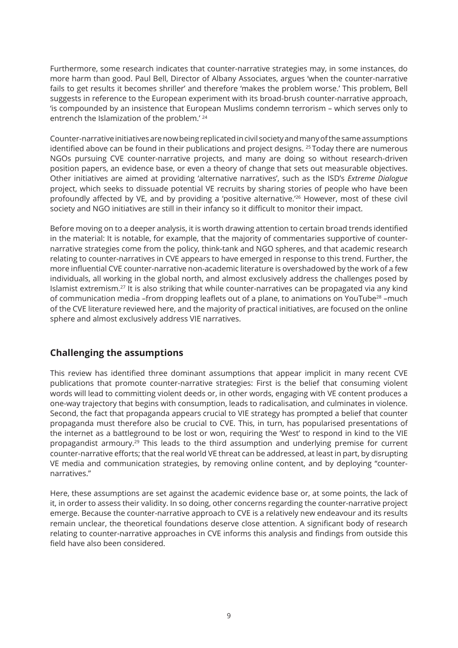Furthermore, some research indicates that counter-narrative strategies may, in some instances, do more harm than good. Paul Bell, Director of Albany Associates, argues 'when the counter-narrative fails to get results it becomes shriller' and therefore 'makes the problem worse.' This problem, Bell suggests in reference to the European experiment with its broad-brush counter-narrative approach, 'is compounded by an insistence that European Muslims condemn terrorism – which serves only to entrench the Islamization of the problem.' <sup>24</sup>

Counter-narrative initiatives are now being replicated in civil society and many of the same assumptions identified above can be found in their publications and project designs. <sup>25</sup> Today there are numerous NGOs pursuing CVE counter-narrative projects, and many are doing so without research-driven position papers, an evidence base, or even a theory of change that sets out measurable objectives. Other initiatives are aimed at providing 'alternative narratives', such as the ISD's *Extreme Dialogue* project, which seeks to dissuade potential VE recruits by sharing stories of people who have been profoundly affected by VE, and by providing a 'positive alternative.'<sup>26</sup> However, most of these civil society and NGO initiatives are still in their infancy so it difficult to monitor their impact.

Before moving on to a deeper analysis, it is worth drawing attention to certain broad trends identified in the material: It is notable, for example, that the majority of commentaries supportive of counternarrative strategies come from the policy, think-tank and NGO spheres, and that academic research relating to counter-narratives in CVE appears to have emerged in response to this trend. Further, the more influential CVE counter-narrative non-academic literature is overshadowed by the work of a few individuals, all working in the global north, and almost exclusively address the challenges posed by Islamist extremism.<sup>27</sup> It is also striking that while counter-narratives can be propagated via any kind of communication media -from dropping leaflets out of a plane, to animations on YouTube<sup>28</sup> -much of the CVE literature reviewed here, and the majority of practical initiatives, are focused on the online sphere and almost exclusively address VIE narratives.

# **Challenging the assumptions**

This review has identified three dominant assumptions that appear implicit in many recent CVE publications that promote counter-narrative strategies: First is the belief that consuming violent words will lead to committing violent deeds or, in other words, engaging with VE content produces a one-way trajectory that begins with consumption, leads to radicalisation, and culminates in violence. Second, the fact that propaganda appears crucial to VIE strategy has prompted a belief that counter propaganda must therefore also be crucial to CVE. This, in turn, has popularised presentations of the internet as a battleground to be lost or won, requiring the 'West' to respond in kind to the VIE propagandist armoury.<sup>29</sup> This leads to the third assumption and underlying premise for current counter-narrative efforts; that the real world VE threat can be addressed, at least in part, by disrupting VE media and communication strategies, by removing online content, and by deploying "counternarratives."

Here, these assumptions are set against the academic evidence base or, at some points, the lack of it, in order to assess their validity. In so doing, other concerns regarding the counter-narrative project emerge. Because the counter-narrative approach to CVE is a relatively new endeavour and its results remain unclear, the theoretical foundations deserve close attention. A significant body of research relating to counter-narrative approaches in CVE informs this analysis and findings from outside this field have also been considered.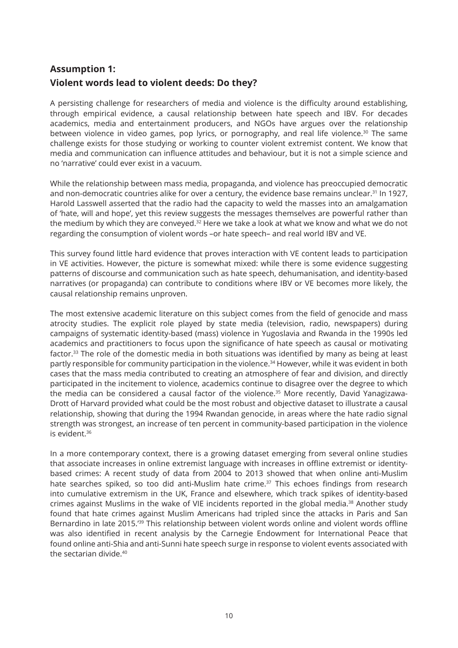# **Assumption 1: Violent words lead to violent deeds: Do they?**

A persisting challenge for researchers of media and violence is the difficulty around establishing, through empirical evidence, a causal relationship between hate speech and IBV. For decades academics, media and entertainment producers, and NGOs have argues over the relationship between violence in video games, pop lyrics, or pornography, and real life violence.<sup>30</sup> The same challenge exists for those studying or working to counter violent extremist content. We know that media and communication can influence attitudes and behaviour, but it is not a simple science and no 'narrative' could ever exist in a vacuum.

While the relationship between mass media, propaganda, and violence has preoccupied democratic and non-democratic countries alike for over a century, the evidence base remains unclear.<sup>31</sup> In 1927, Harold Lasswell asserted that the radio had the capacity to weld the masses into an amalgamation of 'hate, will and hope', yet this review suggests the messages themselves are powerful rather than the medium by which they are conveyed.<sup>32</sup> Here we take a look at what we know and what we do not regarding the consumption of violent words –or hate speech– and real world IBV and VE.

This survey found little hard evidence that proves interaction with VE content leads to participation in VE activities. However, the picture is somewhat mixed: while there is some evidence suggesting patterns of discourse and communication such as hate speech, dehumanisation, and identity-based narratives (or propaganda) can contribute to conditions where IBV or VE becomes more likely, the causal relationship remains unproven.

The most extensive academic literature on this subject comes from the field of genocide and mass atrocity studies. The explicit role played by state media (television, radio, newspapers) during campaigns of systematic identity-based (mass) violence in Yugoslavia and Rwanda in the 1990s led academics and practitioners to focus upon the significance of hate speech as causal or motivating factor.<sup>33</sup> The role of the domestic media in both situations was identified by many as being at least partly responsible for community participation in the violence.<sup>34</sup> However, while it was evident in both cases that the mass media contributed to creating an atmosphere of fear and division, and directly participated in the incitement to violence, academics continue to disagree over the degree to which the media can be considered a causal factor of the violence.<sup>35</sup> More recently, David Yanagizawa-Drott of Harvard provided what could be the most robust and objective dataset to illustrate a causal relationship, showing that during the 1994 Rwandan genocide, in areas where the hate radio signal strength was strongest, an increase of ten percent in community-based participation in the violence is evident.<sup>36</sup>

In a more contemporary context, there is a growing dataset emerging from several online studies that associate increases in online extremist language with increases in offline extremist or identitybased crimes: A recent study of data from 2004 to 2013 showed that when online anti-Muslim hate searches spiked, so too did anti-Muslim hate crime.<sup>37</sup> This echoes findings from research into cumulative extremism in the UK, France and elsewhere, which track spikes of identity-based crimes against Muslims in the wake of VIE incidents reported in the global media.<sup>38</sup> Another study found that hate crimes against Muslim Americans had tripled since the attacks in Paris and San Bernardino in late 2015.'<sup>39</sup> This relationship between violent words online and violent words offline was also identified in recent analysis by the Carnegie Endowment for International Peace that found online anti-Shia and anti-Sunni hate speech surge in response to violent events associated with the sectarian divide 40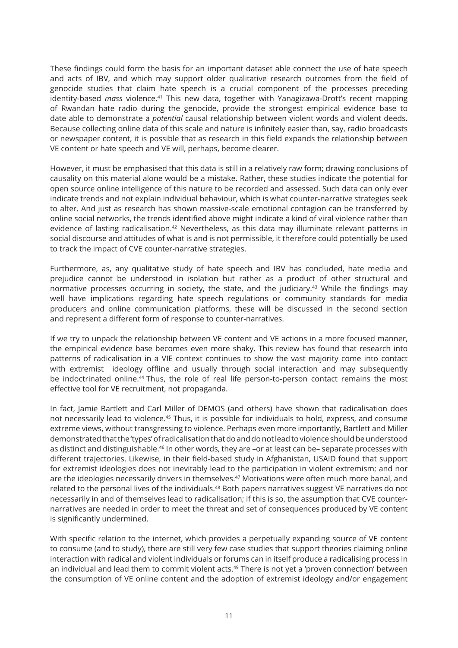These findings could form the basis for an important dataset able connect the use of hate speech and acts of IBV, and which may support older qualitative research outcomes from the field of genocide studies that claim hate speech is a crucial component of the processes preceding identity-based *mass* violence.<sup>41</sup> This new data, together with Yanagizawa-Drott's recent mapping of Rwandan hate radio during the genocide, provide the strongest empirical evidence base to date able to demonstrate a *potential* causal relationship between violent words and violent deeds. Because collecting online data of this scale and nature is infinitely easier than, say, radio broadcasts or newspaper content, it is possible that as research in this field expands the relationship between VE content or hate speech and VE will, perhaps, become clearer.

However, it must be emphasised that this data is still in a relatively raw form; drawing conclusions of causality on this material alone would be a mistake. Rather, these studies indicate the potential for open source online intelligence of this nature to be recorded and assessed. Such data can only ever indicate trends and not explain individual behaviour, which is what counter-narrative strategies seek to alter. And just as research has shown massive-scale emotional contagion can be transferred by online social networks, the trends identified above might indicate a kind of viral violence rather than evidence of lasting radicalisation.<sup>42</sup> Nevertheless, as this data may illuminate relevant patterns in social discourse and attitudes of what is and is not permissible, it therefore could potentially be used to track the impact of CVE counter-narrative strategies.

Furthermore, as, any qualitative study of hate speech and IBV has concluded, hate media and prejudice cannot be understood in isolation but rather as a product of other structural and normative processes occurring in society, the state, and the judiciary.<sup>43</sup> While the findings may well have implications regarding hate speech regulations or community standards for media producers and online communication platforms, these will be discussed in the second section and represent a different form of response to counter-narratives.

If we try to unpack the relationship between VE content and VE actions in a more focused manner, the empirical evidence base becomes even more shaky. This review has found that research into patterns of radicalisation in a VIE context continues to show the vast majority come into contact with extremist ideology offline and usually through social interaction and may subsequently be indoctrinated online.<sup>44</sup> Thus, the role of real life person-to-person contact remains the most effective tool for VE recruitment, not propaganda.

In fact, Jamie Bartlett and Carl Miller of DEMOS (and others) have shown that radicalisation does not necessarily lead to violence.<sup>45</sup> Thus, it is possible for individuals to hold, express, and consume extreme views, without transgressing to violence. Perhaps even more importantly, Bartlett and Miller demonstrated that the 'types' of radicalisation that do and do not lead to violence should be understood as distinct and distinguishable.<sup>46</sup> In other words, they are –or at least can be– separate processes with different trajectories. Likewise, in their field-based study in Afghanistan, USAID found that support for extremist ideologies does not inevitably lead to the participation in violent extremism; and nor are the ideologies necessarily drivers in themselves.<sup>47</sup> Motivations were often much more banal, and related to the personal lives of the individuals.<sup>48</sup> Both papers narratives suggest VE narratives do not necessarily in and of themselves lead to radicalisation; if this is so, the assumption that CVE counternarratives are needed in order to meet the threat and set of consequences produced by VE content is significantly undermined.

With specific relation to the internet, which provides a perpetually expanding source of VE content to consume (and to study), there are still very few case studies that support theories claiming online interaction with radical and violent individuals or forums can in itself produce a radicalising process in an individual and lead them to commit violent acts.<sup>49</sup> There is not yet a 'proven connection' between the consumption of VE online content and the adoption of extremist ideology and/or engagement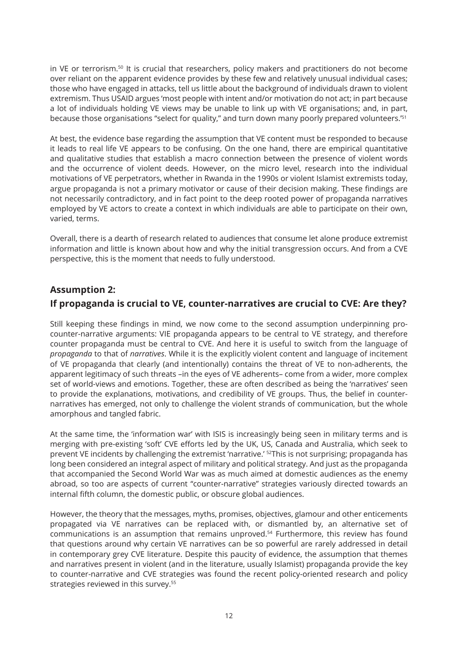in VE or terrorism.<sup>50</sup> It is crucial that researchers, policy makers and practitioners do not become over reliant on the apparent evidence provides by these few and relatively unusual individual cases; those who have engaged in attacks, tell us little about the background of individuals drawn to violent extremism. Thus USAID argues 'most people with intent and/or motivation do not act; in part because a lot of individuals holding VE views may be unable to link up with VE organisations; and, in part, because those organisations "select for quality," and turn down many poorly prepared volunteers.'<sup>51</sup>

At best, the evidence base regarding the assumption that VE content must be responded to because it leads to real life VE appears to be confusing. On the one hand, there are empirical quantitative and qualitative studies that establish a macro connection between the presence of violent words and the occurrence of violent deeds. However, on the micro level, research into the individual motivations of VE perpetrators, whether in Rwanda in the 1990s or violent Islamist extremists today, argue propaganda is not a primary motivator or cause of their decision making. These findings are not necessarily contradictory, and in fact point to the deep rooted power of propaganda narratives employed by VE actors to create a context in which individuals are able to participate on their own, varied, terms.

Overall, there is a dearth of research related to audiences that consume let alone produce extremist information and little is known about how and why the initial transgression occurs. And from a CVE perspective, this is the moment that needs to fully understood.

# **Assumption 2: If propaganda is crucial to VE, counter-narratives are crucial to CVE: Are they?**

Still keeping these findings in mind, we now come to the second assumption underpinning procounter-narrative arguments: VIE propaganda appears to be central to VE strategy, and therefore counter propaganda must be central to CVE. And here it is useful to switch from the language of *propaganda* to that of *narratives*. While it is the explicitly violent content and language of incitement of VE propaganda that clearly (and intentionally) contains the threat of VE to non-adherents, the apparent legitimacy of such threats –in the eyes of VE adherents– come from a wider, more complex set of world-views and emotions. Together, these are often described as being the 'narratives' seen to provide the explanations, motivations, and credibility of VE groups. Thus, the belief in counternarratives has emerged, not only to challenge the violent strands of communication, but the whole amorphous and tangled fabric.

At the same time, the 'information war' with ISIS is increasingly being seen in military terms and is merging with pre-existing 'soft' CVE efforts led by the UK, US, Canada and Australia, which seek to prevent VE incidents by challenging the extremist 'narrative.' <sup>52</sup>This is not surprising; propaganda has long been considered an integral aspect of military and political strategy. And just as the propaganda that accompanied the Second World War was as much aimed at domestic audiences as the enemy abroad, so too are aspects of current "counter-narrative" strategies variously directed towards an internal fifth column, the domestic public, or obscure global audiences.

However, the theory that the messages, myths, promises, objectives, glamour and other enticements propagated via VE narratives can be replaced with, or dismantled by, an alternative set of communications is an assumption that remains unproved.<sup>54</sup> Furthermore, this review has found that questions around why certain VE narratives can be so powerful are rarely addressed in detail in contemporary grey CVE literature. Despite this paucity of evidence, the assumption that themes and narratives present in violent (and in the literature, usually Islamist) propaganda provide the key to counter-narrative and CVE strategies was found the recent policy-oriented research and policy strategies reviewed in this survey.<sup>55</sup>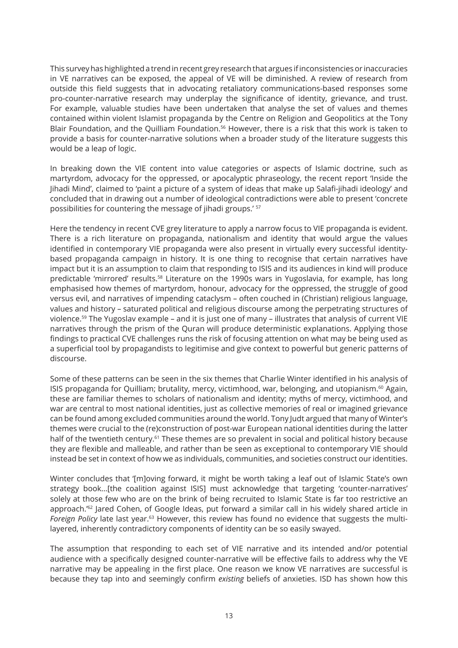This survey has highlighted a trend in recent grey research that argues if inconsistencies or inaccuracies in VE narratives can be exposed, the appeal of VE will be diminished. A review of research from outside this field suggests that in advocating retaliatory communications-based responses some pro-counter-narrative research may underplay the significance of identity, grievance, and trust. For example, valuable studies have been undertaken that analyse the set of values and themes contained within violent Islamist propaganda by the Centre on Religion and Geopolitics at the Tony Blair Foundation, and the Quilliam Foundation.<sup>56</sup> However, there is a risk that this work is taken to provide a basis for counter-narrative solutions when a broader study of the literature suggests this would be a leap of logic.

In breaking down the VIE content into value categories or aspects of Islamic doctrine, such as martyrdom, advocacy for the oppressed, or apocalyptic phraseology, the recent report 'Inside the Jihadi Mind', claimed to 'paint a picture of a system of ideas that make up Salafi-jihadi ideology' and concluded that in drawing out a number of ideological contradictions were able to present 'concrete possibilities for countering the message of jihadi groups.' <sup>57</sup>

Here the tendency in recent CVE grey literature to apply a narrow focus to VIE propaganda is evident. There is a rich literature on propaganda, nationalism and identity that would argue the values identified in contemporary VIE propaganda were also present in virtually every successful identitybased propaganda campaign in history. It is one thing to recognise that certain narratives have impact but it is an assumption to claim that responding to ISIS and its audiences in kind will produce predictable 'mirrored' results.<sup>58</sup> Literature on the 1990s wars in Yugoslavia, for example, has long emphasised how themes of martyrdom, honour, advocacy for the oppressed, the struggle of good versus evil, and narratives of impending cataclysm – often couched in (Christian) religious language, values and history – saturated political and religious discourse among the perpetrating structures of violence.<sup>59</sup> The Yugoslav example – and it is just one of many – illustrates that analysis of current VIE narratives through the prism of the Quran will produce deterministic explanations. Applying those findings to practical CVE challenges runs the risk of focusing attention on what may be being used as a superficial tool by propagandists to legitimise and give context to powerful but generic patterns of discourse.

Some of these patterns can be seen in the six themes that Charlie Winter identified in his analysis of ISIS propaganda for Quilliam; brutality, mercy, victimhood, war, belonging, and utopianism.<sup>60</sup> Again, these are familiar themes to scholars of nationalism and identity; myths of mercy, victimhood, and war are central to most national identities, just as collective memories of real or imagined grievance can be found among excluded communities around the world. Tony Judt argued that many of Winter's themes were crucial to the (re)construction of post-war European national identities during the latter half of the twentieth century.<sup>61</sup> These themes are so prevalent in social and political history because they are flexible and malleable, and rather than be seen as exceptional to contemporary VIE should instead be set in context of how we as individuals, communities, and societies construct our identities.

Winter concludes that '[m]oving forward, it might be worth taking a leaf out of Islamic State's own strategy book...[the coalition against ISIS] must acknowledge that targeting 'counter-narratives' solely at those few who are on the brink of being recruited to Islamic State is far too restrictive an approach.<sup>'62</sup> Jared Cohen, of Google Ideas, put forward a similar call in his widely shared article in *Foreign Policy* late last year.63 However, this review has found no evidence that suggests the multilayered, inherently contradictory components of identity can be so easily swayed.

The assumption that responding to each set of VIE narrative and its intended and/or potential audience with a specifically designed counter-narrative will be effective fails to address why the VE narrative may be appealing in the first place. One reason we know VE narratives are successful is because they tap into and seemingly confirm *existing* beliefs of anxieties. ISD has shown how this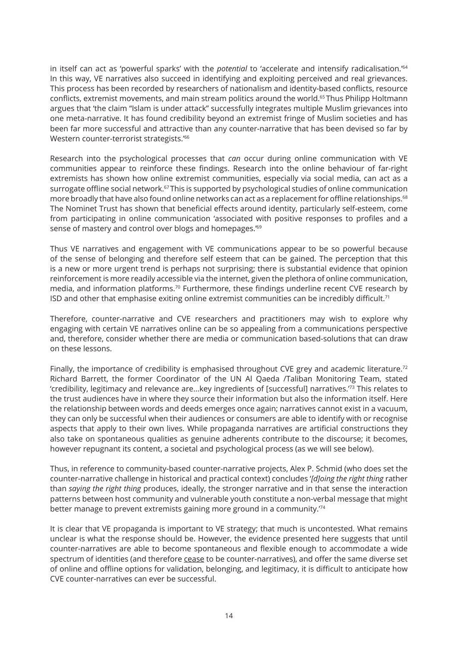in itself can act as 'powerful sparks' with the *potential* to 'accelerate and intensify radicalisation.'<sup>64</sup> In this way, VE narratives also succeed in identifying and exploiting perceived and real grievances. This process has been recorded by researchers of nationalism and identity-based conflicts, resource conflicts, extremist movements, and main stream politics around the world.<sup>65</sup>Thus Philipp Holtmann argues that 'the claim "Islam is under attack" successfully integrates multiple Muslim grievances into one meta-narrative. It has found credibility beyond an extremist fringe of Muslim societies and has been far more successful and attractive than any counter-narrative that has been devised so far by Western counter-terrorist strategists.'<sup>66</sup>

Research into the psychological processes that *can* occur during online communication with VE communities appear to reinforce these findings. Research into the online behaviour of far-right extremists has shown how online extremist communities, especially via social media, can act as a surrogate offline social network.<sup>67</sup>This is supported by psychological studies of online communication more broadly that have also found online networks can act as a replacement for offline relationships.<sup>68</sup> The Nominet Trust has shown that beneficial effects around identity, particularly self-esteem, come from participating in online communication 'associated with positive responses to profiles and a sense of mastery and control over blogs and homepages.'<sup>69</sup>

Thus VE narratives and engagement with VE communications appear to be so powerful because of the sense of belonging and therefore self esteem that can be gained. The perception that this is a new or more urgent trend is perhaps not surprising; there is substantial evidence that opinion reinforcement is more readily accessible via the internet, given the plethora of online communication, media, and information platforms.<sup>70</sup> Furthermore, these findings underline recent CVE research by ISD and other that emphasise exiting online extremist communities can be incredibly difficult.<sup>71</sup>

Therefore, counter-narrative and CVE researchers and practitioners may wish to explore why engaging with certain VE narratives online can be so appealing from a communications perspective and, therefore, consider whether there are media or communication based-solutions that can draw on these lessons.

Finally, the importance of credibility is emphasised throughout CVE grey and academic literature.<sup>72</sup> Richard Barrett, the former Coordinator of the UN Al Qaeda /Taliban Monitoring Team, stated 'credibility, legitimacy and relevance are...key ingredients of [successful] narratives.'<sup>73</sup> This relates to the trust audiences have in where they source their information but also the information itself. Here the relationship between words and deeds emerges once again; narratives cannot exist in a vacuum, they can only be successful when their audiences or consumers are able to identify with or recognise aspects that apply to their own lives. While propaganda narratives are artificial constructions they also take on spontaneous qualities as genuine adherents contribute to the discourse; it becomes, however repugnant its content, a societal and psychological process (as we will see below).

Thus, in reference to community-based counter-narrative projects, Alex P. Schmid (who does set the counter-narrative challenge in historical and practical context) concludes '*[d]oing the right thing* rather than *saying the right thing* produces, ideally, the stronger narrative and in that sense the interaction patterns between host community and vulnerable youth constitute a non-verbal message that might better manage to prevent extremists gaining more ground in a community.<sup>74</sup>

It is clear that VE propaganda is important to VE strategy; that much is uncontested. What remains unclear is what the response should be. However, the evidence presented here suggests that until counter-narratives are able to become spontaneous and flexible enough to accommodate a wide spectrum of identities (and therefore cease to be counter-narratives), and offer the same diverse set of online and offline options for validation, belonging, and legitimacy, it is difficult to anticipate how CVE counter-narratives can ever be successful.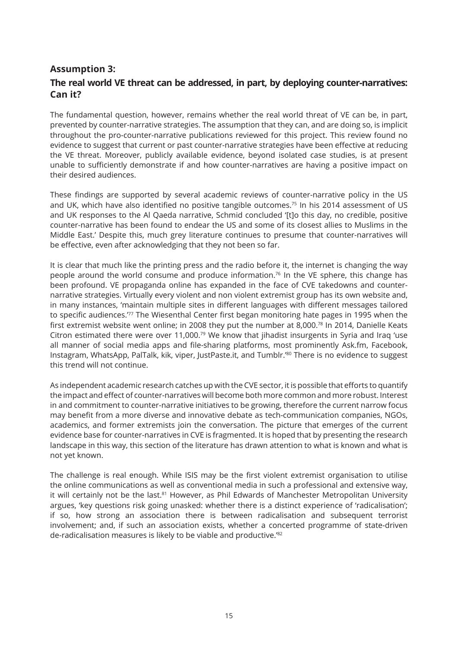# **Assumption 3: The real world VE threat can be addressed, in part, by deploying counter-narratives: Can it?**

The fundamental question, however, remains whether the real world threat of VE can be, in part, prevented by counter-narrative strategies. The assumption that they can, and are doing so, is implicit throughout the pro-counter-narrative publications reviewed for this project. This review found no evidence to suggest that current or past counter-narrative strategies have been effective at reducing the VE threat. Moreover, publicly available evidence, beyond isolated case studies, is at present unable to sufficiently demonstrate if and how counter-narratives are having a positive impact on their desired audiences.

These findings are supported by several academic reviews of counter-narrative policy in the US and UK, which have also identified no positive tangible outcomes.<sup>75</sup> In his 2014 assessment of US and UK responses to the Al Qaeda narrative, Schmid concluded '[t]o this day, no credible, positive counter-narrative has been found to endear the US and some of its closest allies to Muslims in the Middle East.' Despite this, much grey literature continues to presume that counter-narratives will be effective, even after acknowledging that they not been so far.

It is clear that much like the printing press and the radio before it, the internet is changing the way people around the world consume and produce information.<sup>76</sup> In the VE sphere, this change has been profound. VE propaganda online has expanded in the face of CVE takedowns and counternarrative strategies. Virtually every violent and non violent extremist group has its own website and, in many instances, 'maintain multiple sites in different languages with different messages tailored to specific audiences.<sup>77</sup> The Wiesenthal Center first began monitoring hate pages in 1995 when the first extremist website went online; in 2008 they put the number at 8,000.<sup>78</sup> In 2014, Danielle Keats Citron estimated there were over 11,000.<sup>79</sup> We know that jihadist insurgents in Syria and Iraq 'use all manner of social media apps and file-sharing platforms, most prominently Ask.fm, Facebook, Instagram, WhatsApp, PalTalk, kik, viper, JustPaste.it, and Tumblr.'<sup>80</sup> There is no evidence to suggest this trend will not continue.

As independent academic research catches up with the CVE sector, it is possible that efforts to quantify the impact and effect of counter-narratives will become both more common and more robust. Interest in and commitment to counter-narrative initiatives to be growing, therefore the current narrow focus may benefit from a more diverse and innovative debate as tech-communication companies, NGOs, academics, and former extremists join the conversation. The picture that emerges of the current evidence base for counter-narratives in CVE is fragmented. It is hoped that by presenting the research landscape in this way, this section of the literature has drawn attention to what is known and what is not yet known.

The challenge is real enough. While ISIS may be the first violent extremist organisation to utilise the online communications as well as conventional media in such a professional and extensive way, it will certainly not be the last.<sup>81</sup> However, as Phil Edwards of Manchester Metropolitan University argues, 'key questions risk going unasked: whether there is a distinct experience of 'radicalisation'; if so, how strong an association there is between radicalisation and subsequent terrorist involvement; and, if such an association exists, whether a concerted programme of state-driven de-radicalisation measures is likely to be viable and productive.'<sup>82</sup>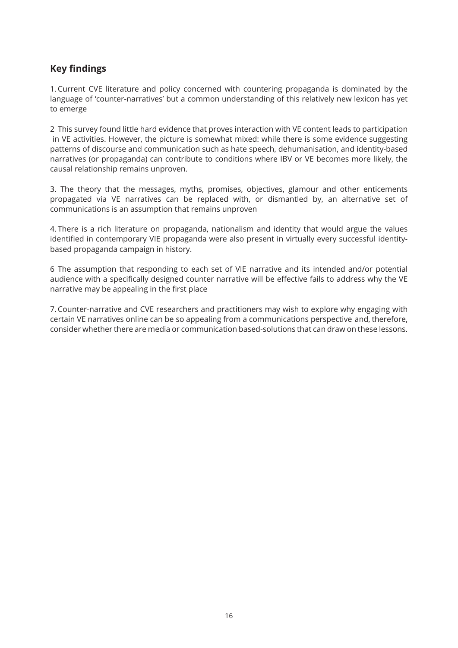# **Key findings**

1.Current CVE literature and policy concerned with countering propaganda is dominated by the language of 'counter-narratives' but a common understanding of this relatively new lexicon has yet to emerge

2 This survey found little hard evidence that proves interaction with VE content leads to participation in VE activities. However, the picture is somewhat mixed: while there is some evidence suggesting patterns of discourse and communication such as hate speech, dehumanisation, and identity-based narratives (or propaganda) can contribute to conditions where IBV or VE becomes more likely, the causal relationship remains unproven.

3. The theory that the messages, myths, promises, objectives, glamour and other enticements propagated via VE narratives can be replaced with, or dismantled by, an alternative set of communications is an assumption that remains unproven

4. There is a rich literature on propaganda, nationalism and identity that would argue the values identified in contemporary VIE propaganda were also present in virtually every successful identitybased propaganda campaign in history.

6 The assumption that responding to each set of VIE narrative and its intended and/or potential audience with a specifically designed counter narrative will be effective fails to address why the VE narrative may be appealing in the first place

7.Counter-narrative and CVE researchers and practitioners may wish to explore why engaging with certain VE narratives online can be so appealing from a communications perspective and, therefore, consider whether there are media or communication based-solutions that can draw on these lessons.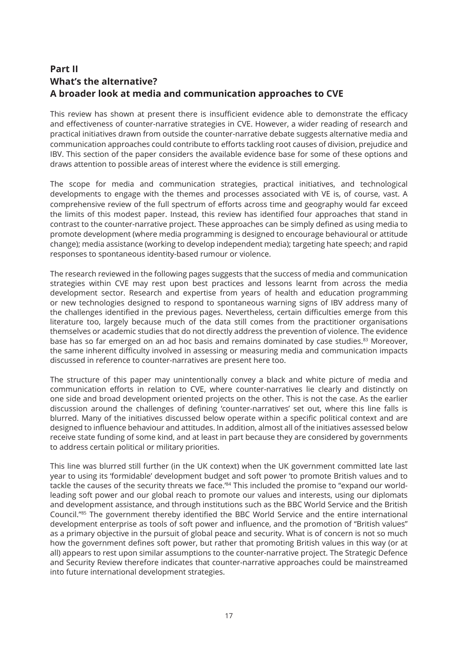# **Part II What's the alternative? A broader look at media and communication approaches to CVE**

This review has shown at present there is insufficient evidence able to demonstrate the efficacy and effectiveness of counter-narrative strategies in CVE. However, a wider reading of research and practical initiatives drawn from outside the counter-narrative debate suggests alternative media and communication approaches could contribute to efforts tackling root causes of division, prejudice and IBV. This section of the paper considers the available evidence base for some of these options and draws attention to possible areas of interest where the evidence is still emerging.

The scope for media and communication strategies, practical initiatives, and technological developments to engage with the themes and processes associated with VE is, of course, vast. A comprehensive review of the full spectrum of efforts across time and geography would far exceed the limits of this modest paper. Instead, this review has identified four approaches that stand in contrast to the counter-narrative project. These approaches can be simply defined as using media to promote development (where media programming is designed to encourage behavioural or attitude change); media assistance (working to develop independent media); targeting hate speech; and rapid responses to spontaneous identity-based rumour or violence.

The research reviewed in the following pages suggests that the success of media and communication strategies within CVE may rest upon best practices and lessons learnt from across the media development sector. Research and expertise from years of health and education programming or new technologies designed to respond to spontaneous warning signs of IBV address many of the challenges identified in the previous pages. Nevertheless, certain difficulties emerge from this literature too, largely because much of the data still comes from the practitioner organisations themselves or academic studies that do not directly address the prevention of violence. The evidence base has so far emerged on an ad hoc basis and remains dominated by case studies.<sup>83</sup> Moreover, the same inherent difficulty involved in assessing or measuring media and communication impacts discussed in reference to counter-narratives are present here too.

The structure of this paper may unintentionally convey a black and white picture of media and communication efforts in relation to CVE, where counter-narratives lie clearly and distinctly on one side and broad development oriented projects on the other. This is not the case. As the earlier discussion around the challenges of defining 'counter-narratives' set out, where this line falls is blurred. Many of the initiatives discussed below operate within a specific political context and are designed to influence behaviour and attitudes. In addition, almost all of the initiatives assessed below receive state funding of some kind, and at least in part because they are considered by governments to address certain political or military priorities.

This line was blurred still further (in the UK context) when the UK government committed late last year to using its 'formidable' development budget and soft power 'to promote British values and to tackle the causes of the security threats we face.<sup>'84</sup> This included the promise to "expand our worldleading soft power and our global reach to promote our values and interests, using our diplomats and development assistance, and through institutions such as the BBC World Service and the British Council."<sup>85</sup> The government thereby identified the BBC World Service and the entire international development enterprise as tools of soft power and influence, and the promotion of "British values" as a primary objective in the pursuit of global peace and security. What is of concern is not so much how the government defines soft power, but rather that promoting British values in this way (or at all) appears to rest upon similar assumptions to the counter-narrative project. The Strategic Defence and Security Review therefore indicates that counter-narrative approaches could be mainstreamed into future international development strategies.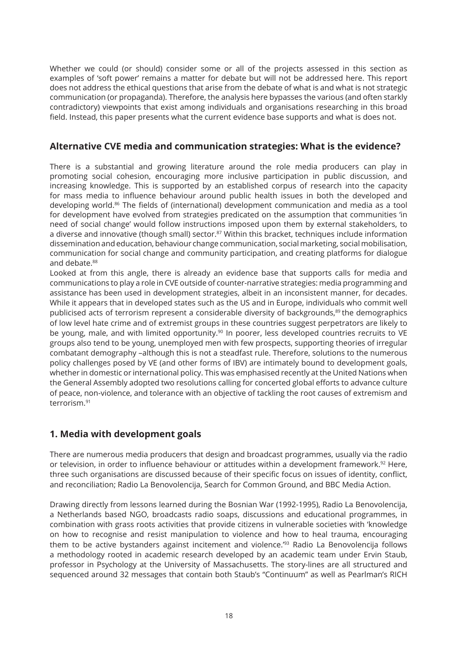Whether we could (or should) consider some or all of the projects assessed in this section as examples of 'soft power' remains a matter for debate but will not be addressed here. This report does not address the ethical questions that arise from the debate of what is and what is not strategic communication (or propaganda). Therefore, the analysis here bypasses the various (and often starkly contradictory) viewpoints that exist among individuals and organisations researching in this broad field. Instead, this paper presents what the current evidence base supports and what is does not.

# **Alternative CVE media and communication strategies: What is the evidence?**

There is a substantial and growing literature around the role media producers can play in promoting social cohesion, encouraging more inclusive participation in public discussion, and increasing knowledge. This is supported by an established corpus of research into the capacity for mass media to influence behaviour around public health issues in both the developed and developing world.<sup>86</sup> The fields of (international) development communication and media as a tool for development have evolved from strategies predicated on the assumption that communities 'in need of social change' would follow instructions imposed upon them by external stakeholders, to a diverse and innovative (though small) sector.<sup>87</sup> Within this bracket, techniques include information dissemination and education, behaviour change communication, social marketing, social mobilisation, communication for social change and community participation, and creating platforms for dialogue and debate.<sup>88</sup>

Looked at from this angle, there is already an evidence base that supports calls for media and communications to play a role in CVE outside of counter-narrative strategies: media programming and assistance has been used in development strategies, albeit in an inconsistent manner, for decades. While it appears that in developed states such as the US and in Europe, individuals who commit well publicised acts of terrorism represent a considerable diversity of backgrounds,<sup>89</sup> the demographics of low level hate crime and of extremist groups in these countries suggest perpetrators are likely to be young, male, and with limited opportunity.<sup>90</sup> In poorer, less developed countries recruits to VE groups also tend to be young, unemployed men with few prospects, supporting theories of irregular combatant demography –although this is not a steadfast rule. Therefore, solutions to the numerous policy challenges posed by VE (and other forms of IBV) are intimately bound to development goals, whether in domestic or international policy. This was emphasised recently at the United Nations when the General Assembly adopted two resolutions calling for concerted global efforts to advance culture of peace, non-violence, and tolerance with an objective of tackling the root causes of extremism and terrorism<sup>91</sup>

# **1. Media with development goals**

There are numerous media producers that design and broadcast programmes, usually via the radio or television, in order to influence behaviour or attitudes within a development framework.<sup>92</sup> Here, three such organisations are discussed because of their specific focus on issues of identity, conflict, and reconciliation; Radio La Benovolencija, Search for Common Ground, and BBC Media Action.

Drawing directly from lessons learned during the Bosnian War (1992-1995), Radio La Benovolencija, a Netherlands based NGO, broadcasts radio soaps, discussions and educational programmes, in combination with grass roots activities that provide citizens in vulnerable societies with 'knowledge on how to recognise and resist manipulation to violence and how to heal trauma, encouraging them to be active bystanders against incitement and violence.'<sup>93</sup> Radio La Benovolencija follows a methodology rooted in academic research developed by an academic team under Ervin Staub, professor in Psychology at the University of Massachusetts. The story-lines are all structured and sequenced around 32 messages that contain both Staub's "Continuum" as well as Pearlman's RICH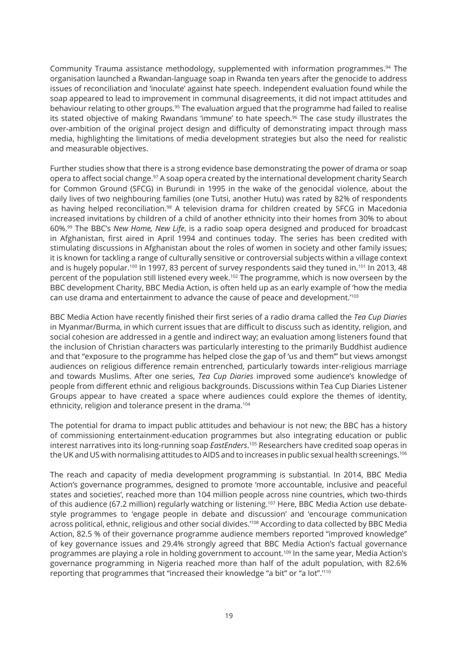Community Trauma assistance methodology, supplemented with information programmes.<sup>94</sup> The organisation launched a Rwandan-language soap in Rwanda ten years after the genocide to address issues of reconciliation and 'inoculate' against hate speech. Independent evaluation found while the soap appeared to lead to improvement in communal disagreements, it did not impact attitudes and behaviour relating to other groups.<sup>95</sup> The evaluation argued that the programme had failed to realise its stated objective of making Rwandans 'immune' to hate speech.<sup>96</sup> The case study illustrates the over-ambition of the original project design and difficulty of demonstrating impact through mass media, highlighting the limitations of media development strategies but also the need for realistic and measurable objectives.

Further studies show that there is a strong evidence base demonstrating the power of drama or soap opera to affect social change.<sup>97</sup> A soap opera created by the international development charity Search for Common Ground (SFCG) in Burundi in 1995 in the wake of the genocidal violence, about the daily lives of two neighbouring families (one Tutsi, another Hutu) was rated by 82% of respondents as having helped reconciliation.<sup>98</sup> A television drama for children created by SFCG in Macedonia increased invitations by children of a child of another ethnicity into their homes from 30% to about 60%.<sup>99</sup> The BBC's *New Home, New Life*, is a radio soap opera designed and produced for broadcast in Afghanistan, first aired in April 1994 and continues today. The series has been credited with stimulating discussions in Afghanistan about the roles of women in society and other family issues; it is known for tackling a range of culturally sensitive or controversial subjects within a village context and is hugely popular.<sup>100</sup> In 1997, 83 percent of survey respondents said they tuned in.<sup>101</sup> In 2013, 48 percent of the population still listened every week.<sup>102</sup> The programme, which is now overseen by the BBC development Charity, BBC Media Action, is often held up as an early example of 'how the media can use drama and entertainment to advance the cause of peace and development.'<sup>103</sup>

BBC Media Action have recently finished their first series of a radio drama called the *Tea Cup Diaries*  in Myanmar/Burma, in which current issues that are difficult to discuss such as identity, religion, and social cohesion are addressed in a gentle and indirect way; an evaluation among listeners found that the inclusion of Christian characters was particularly interesting to the primarily Buddhist audience and that "exposure to the programme has helped close the gap of 'us and them'" but views amongst audiences on religious difference remain entrenched, particularly towards inter-religious marriage and towards Muslims. After one series, *Tea Cup Diaries* improved some audience's knowledge of people from different ethnic and religious backgrounds. Discussions within Tea Cup Diaries Listener Groups appear to have created a space where audiences could explore the themes of identity, ethnicity, religion and tolerance present in the drama.<sup>104</sup>

The potential for drama to impact public attitudes and behaviour is not new; the BBC has a history of commissioning entertainment-education programmes but also integrating education or public interest narratives into its long-running soap *EastEnders*. <sup>105</sup> Researchers have credited soap operas in the UK and US with normalising attitudes to AIDS and to increases in public sexual health screenings.<sup>106</sup>

The reach and capacity of media development programming is substantial. In 2014, BBC Media Action's governance programmes, designed to promote 'more accountable, inclusive and peaceful states and societies', reached more than 104 million people across nine countries, which two-thirds of this audience (67.2 million) regularly watching or listening.<sup>107</sup> Here, BBC Media Action use debatestyle programmes to 'engage people in debate and discussion' and 'encourage communication across political, ethnic, religious and other social divides.<sup>'108</sup> According to data collected by BBC Media Action, 82.5 % of their governance programme audience members reported "improved knowledge" of key governance issues and 29.4% strongly agreed that BBC Media Action's factual governance programmes are playing a role in holding government to account.<sup>109</sup> In the same year, Media Action's governance programming in Nigeria reached more than half of the adult population, with 82.6% reporting that programmes that "increased their knowledge "a bit" or "a lot".'<sup>110</sup>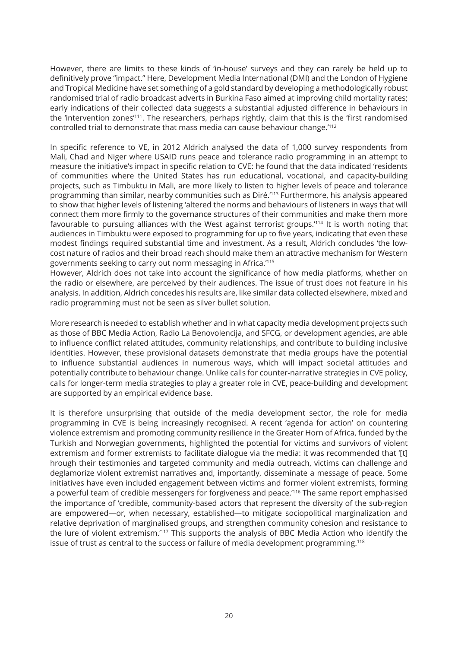However, there are limits to these kinds of 'in-house' surveys and they can rarely be held up to definitively prove "impact." Here, Development Media International (DMI) and the London of Hygiene and Tropical Medicine have set something of a gold standard by developing a methodologically robust randomised trial of radio broadcast adverts in Burkina Faso aimed at improving child mortality rates; early indications of their collected data suggests a substantial adjusted difference in behaviours in the 'intervention zones'<sup>111</sup>. The researchers, perhaps rightly, claim that this is the 'first randomised controlled trial to demonstrate that mass media can cause behaviour change.'<sup>112</sup>

In specific reference to VE, in 2012 Aldrich analysed the data of 1,000 survey respondents from Mali, Chad and Niger where USAID runs peace and tolerance radio programming in an attempt to measure the initiative's impact in specific relation to CVE: he found that the data indicated 'residents of communities where the United States has run educational, vocational, and capacity-building projects, such as Timbuktu in Mali, are more likely to listen to higher levels of peace and tolerance programming than similar, nearby communities such as Diré.'<sup>113</sup> Furthermore, his analysis appeared to show that higher levels of listening 'altered the norms and behaviours of listeners in ways that will connect them more firmly to the governance structures of their communities and make them more favourable to pursuing alliances with the West against terrorist groups.<sup>'114</sup> It is worth noting that audiences in Timbuktu were exposed to programming for up to five years, indicating that even these modest findings required substantial time and investment. As a result, Aldrich concludes 'the lowcost nature of radios and their broad reach should make them an attractive mechanism for Western governments seeking to carry out norm messaging in Africa.'<sup>115</sup>

However, Aldrich does not take into account the significance of how media platforms, whether on the radio or elsewhere, are perceived by their audiences. The issue of trust does not feature in his analysis. In addition, Aldrich concedes his results are, like similar data collected elsewhere, mixed and radio programming must not be seen as silver bullet solution.

More research is needed to establish whether and in what capacity media development projects such as those of BBC Media Action, Radio La Benovolencija, and SFCG, or development agencies, are able to influence conflict related attitudes, community relationships, and contribute to building inclusive identities. However, these provisional datasets demonstrate that media groups have the potential to influence substantial audiences in numerous ways, which will impact societal attitudes and potentially contribute to behaviour change. Unlike calls for counter-narrative strategies in CVE policy, calls for longer-term media strategies to play a greater role in CVE, peace-building and development are supported by an empirical evidence base.

It is therefore unsurprising that outside of the media development sector, the role for media programming in CVE is being increasingly recognised. A recent 'agenda for action' on countering violence extremism and promoting community resilience in the Greater Horn of Africa, funded by the Turkish and Norwegian governments, highlighted the potential for victims and survivors of violent extremism and former extremists to facilitate dialogue via the media: it was recommended that '[t] hrough their testimonies and targeted community and media outreach, victims can challenge and deglamorize violent extremist narratives and, importantly, disseminate a message of peace. Some initiatives have even included engagement between victims and former violent extremists, forming a powerful team of credible messengers for forgiveness and peace.<sup>'116</sup> The same report emphasised the importance of 'credible, community-based actors that represent the diversity of the sub-region are empowered—or, when necessary, established—to mitigate sociopolitical marginalization and relative deprivation of marginalised groups, and strengthen community cohesion and resistance to the lure of violent extremism.'<sup>117</sup> This supports the analysis of BBC Media Action who identify the issue of trust as central to the success or failure of media development programming.<sup>118</sup>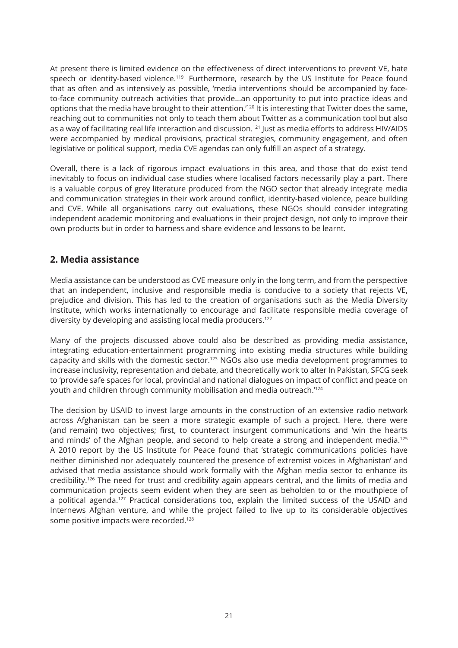At present there is limited evidence on the effectiveness of direct interventions to prevent VE, hate speech or identity-based violence.<sup>119</sup> Furthermore, research by the US Institute for Peace found that as often and as intensively as possible, 'media interventions should be accompanied by faceto-face community outreach activities that provide...an opportunity to put into practice ideas and options that the media have brought to their attention.<sup>'120</sup> It is interesting that Twitter does the same, reaching out to communities not only to teach them about Twitter as a communication tool but also as a way of facilitating real life interaction and discussion.<sup>121</sup> Just as media efforts to address HIV/AIDS were accompanied by medical provisions, practical strategies, community engagement, and often legislative or political support, media CVE agendas can only fulfill an aspect of a strategy.

Overall, there is a lack of rigorous impact evaluations in this area, and those that do exist tend inevitably to focus on individual case studies where localised factors necessarily play a part. There is a valuable corpus of grey literature produced from the NGO sector that already integrate media and communication strategies in their work around conflict, identity-based violence, peace building and CVE. While all organisations carry out evaluations, these NGOs should consider integrating independent academic monitoring and evaluations in their project design, not only to improve their own products but in order to harness and share evidence and lessons to be learnt.

# **2. Media assistance**

Media assistance can be understood as CVE measure only in the long term, and from the perspective that an independent, inclusive and responsible media is conducive to a society that rejects VE, prejudice and division. This has led to the creation of organisations such as the Media Diversity Institute, which works internationally to encourage and facilitate responsible media coverage of diversity by developing and assisting local media producers.<sup>122</sup>

Many of the projects discussed above could also be described as providing media assistance, integrating education-entertainment programming into existing media structures while building capacity and skills with the domestic sector.<sup>123</sup> NGOs also use media development programmes to increase inclusivity, representation and debate, and theoretically work to alter In Pakistan, SFCG seek to 'provide safe spaces for local, provincial and national dialogues on impact of conflict and peace on youth and children through community mobilisation and media outreach.'<sup>124</sup>

The decision by USAID to invest large amounts in the construction of an extensive radio network across Afghanistan can be seen a more strategic example of such a project. Here, there were (and remain) two objectives; first, to counteract insurgent communications and 'win the hearts and minds' of the Afghan people, and second to help create a strong and independent media.<sup>125</sup> A 2010 report by the US Institute for Peace found that 'strategic communications policies have neither diminished nor adequately countered the presence of extremist voices in Afghanistan' and advised that media assistance should work formally with the Afghan media sector to enhance its credibility.<sup>126</sup> The need for trust and credibility again appears central, and the limits of media and communication projects seem evident when they are seen as beholden to or the mouthpiece of a political agenda.<sup>127</sup> Practical considerations too, explain the limited success of the USAID and Internews Afghan venture, and while the project failed to live up to its considerable objectives some positive impacts were recorded.<sup>128</sup>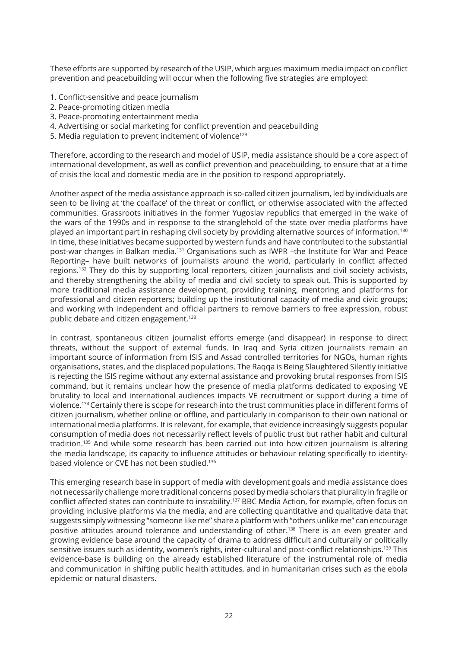These efforts are supported by research of the USIP, which argues maximum media impact on conflict prevention and peacebuilding will occur when the following five strategies are employed:

- 1. Conflict-sensitive and peace journalism
- 2. Peace-promoting citizen media
- 3. Peace-promoting entertainment media
- 4. Advertising or social marketing for conflict prevention and peacebuilding
- 5. Media regulation to prevent incitement of violence<sup>129</sup>

Therefore, according to the research and model of USIP, media assistance should be a core aspect of international development, as well as conflict prevention and peacebuilding, to ensure that at a time of crisis the local and domestic media are in the position to respond appropriately.

Another aspect of the media assistance approach is so-called citizen journalism, led by individuals are seen to be living at 'the coalface' of the threat or conflict, or otherwise associated with the affected communities. Grassroots initiatives in the former Yugoslav republics that emerged in the wake of the wars of the 1990s and in response to the stranglehold of the state over media platforms have played an important part in reshaping civil society by providing alternative sources of information.<sup>130</sup> In time, these initiatives became supported by western funds and have contributed to the substantial post-war changes in Balkan media.<sup>131</sup> Organisations such as IWPR -the Institute for War and Peace Reporting– have built networks of journalists around the world, particularly in conflict affected regions.<sup>132</sup> They do this by supporting local reporters, citizen journalists and civil society activists, and thereby strengthening the ability of media and civil society to speak out. This is supported by more traditional media assistance development, providing training, mentoring and platforms for professional and citizen reporters; building up the institutional capacity of media and civic groups; and working with independent and official partners to remove barriers to free expression, robust public debate and citizen engagement.<sup>133</sup>

In contrast, spontaneous citizen journalist efforts emerge (and disappear) in response to direct threats, without the support of external funds. In Iraq and Syria citizen journalists remain an important source of information from ISIS and Assad controlled territories for NGOs, human rights organisations, states, and the displaced populations. The Raqqa is Being Slaughtered Silently initiative is rejecting the ISIS regime without any external assistance and provoking brutal responses from ISIS command, but it remains unclear how the presence of media platforms dedicated to exposing VE brutality to local and international audiences impacts VE recruitment or support during a time of violence.<sup>134</sup>Certainly there is scope for research into the trust communities place in different forms of citizen journalism, whether online or offline, and particularly in comparison to their own national or international media platforms. It is relevant, for example, that evidence increasingly suggests popular consumption of media does not necessarily reflect levels of public trust but rather habit and cultural tradition.<sup>135</sup> And while some research has been carried out into how citizen journalism is altering the media landscape, its capacity to influence attitudes or behaviour relating specifically to identitybased violence or CVE has not been studied.<sup>136</sup>

This emerging research base in support of media with development goals and media assistance does not necessarily challenge more traditional concerns posed by media scholars that plurality in fragile or conflict affected states can contribute to instability.<sup>137</sup> BBC Media Action, for example, often focus on providing inclusive platforms via the media, and are collecting quantitative and qualitative data that suggests simply witnessing "someone like me" share a platform with "others unlike me" can encourage positive attitudes around tolerance and understanding of other.<sup>138</sup> There is an even greater and growing evidence base around the capacity of drama to address difficult and culturally or politically sensitive issues such as identity, women's rights, inter-cultural and post-conflict relationships.139 This evidence-base is building on the already established literature of the instrumental role of media and communication in shifting public health attitudes, and in humanitarian crises such as the ebola epidemic or natural disasters.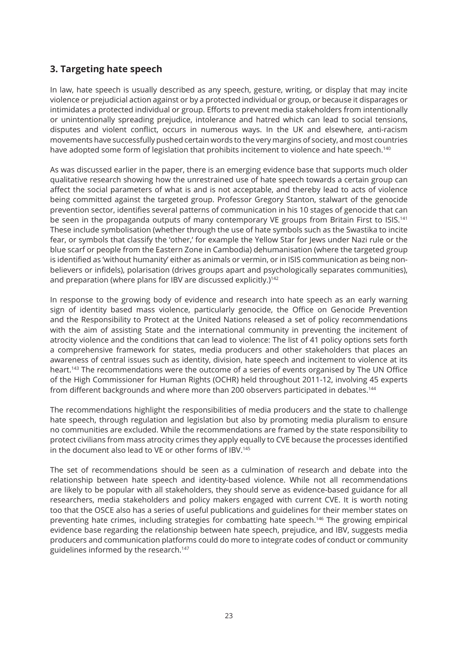# **3. Targeting hate speech**

In law, hate speech is usually described as any speech, gesture, writing, or display that may incite violence or prejudicial action against or by a protected individual or group, or because it disparages or intimidates a protected individual or group. Efforts to prevent media stakeholders from intentionally or unintentionally spreading prejudice, intolerance and hatred which can lead to social tensions, disputes and violent conflict, occurs in numerous ways. In the UK and elsewhere, anti-racism movements have successfully pushed certain words to the very margins of society, and most countries have adopted some form of legislation that prohibits incitement to violence and hate speech.<sup>140</sup>

As was discussed earlier in the paper, there is an emerging evidence base that supports much older qualitative research showing how the unrestrained use of hate speech towards a certain group can affect the social parameters of what is and is not acceptable, and thereby lead to acts of violence being committed against the targeted group. Professor Gregory Stanton, stalwart of the genocide prevention sector, identifies several patterns of communication in his 10 stages of genocide that can be seen in the propaganda outputs of many contemporary VE groups from Britain First to ISIS.<sup>141</sup> These include symbolisation (whether through the use of hate symbols such as the Swastika to incite fear, or symbols that classify the 'other,' for example the Yellow Star for Jews under Nazi rule or the blue scarf or people from the Eastern Zone in Cambodia) dehumanisation (where the targeted group is identified as 'without humanity' either as animals or vermin, or in ISIS communication as being nonbelievers or infidels), polarisation (drives groups apart and psychologically separates communities), and preparation (where plans for IBV are discussed explicitly.)<sup>142</sup>

In response to the growing body of evidence and research into hate speech as an early warning sign of identity based mass violence, particularly genocide, the Office on Genocide Prevention and the Responsibility to Protect at the United Nations released a set of policy recommendations with the aim of assisting State and the international community in preventing the incitement of atrocity violence and the conditions that can lead to violence: The list of 41 policy options sets forth a comprehensive framework for states, media producers and other stakeholders that places an awareness of central issues such as identity, division, hate speech and incitement to violence at its heart.<sup>143</sup> The recommendations were the outcome of a series of events organised by The UN Office of the High Commissioner for Human Rights (OCHR) held throughout 2011-12, involving 45 experts from different backgrounds and where more than 200 observers participated in debates.<sup>144</sup>

The recommendations highlight the responsibilities of media producers and the state to challenge hate speech, through regulation and legislation but also by promoting media pluralism to ensure no communities are excluded. While the recommendations are framed by the state responsibility to protect civilians from mass atrocity crimes they apply equally to CVE because the processes identified in the document also lead to VE or other forms of IBV.<sup>145</sup>

The set of recommendations should be seen as a culmination of research and debate into the relationship between hate speech and identity-based violence. While not all recommendations are likely to be popular with all stakeholders, they should serve as evidence-based guidance for all researchers, media stakeholders and policy makers engaged with current CVE. It is worth noting too that the OSCE also has a series of useful publications and guidelines for their member states on preventing hate crimes, including strategies for combatting hate speech.<sup>146</sup> The growing empirical evidence base regarding the relationship between hate speech, prejudice, and IBV, suggests media producers and communication platforms could do more to integrate codes of conduct or community guidelines informed by the research.<sup>147</sup>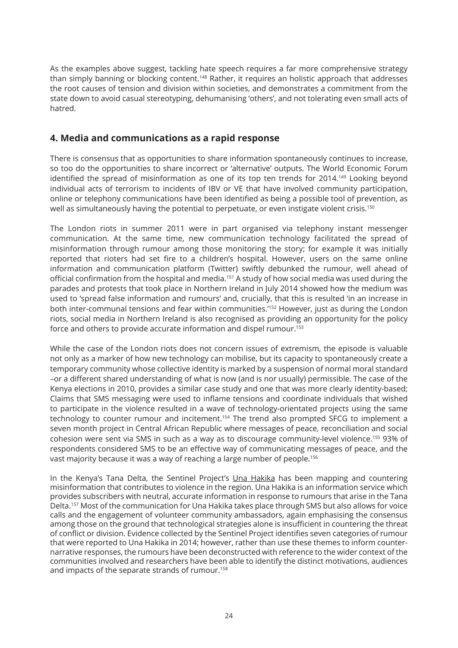As the examples above suggest, tackling hate speech requires a far more comprehensive strategy than simply banning or blocking content.<sup>148</sup> Rather, it requires an holistic approach that addresses the root causes of tension and division within societies, and demonstrates a commitment from the state down to avoid casual stereotyping, dehumanising 'others', and not tolerating even small acts of hatred.

#### **4. Media and communications as a rapid response**

There is consensus that as opportunities to share information spontaneously continues to increase, so too do the opportunities to share incorrect or 'alternative' outputs. The World Economic Forum identified the spread of misinformation as one of its top ten trends for 2014.<sup>149</sup> Looking bevond individual acts of terrorism to incidents of IBV or VE that have involved community participation, online or telephony communications have been identified as being a possible tool of prevention, as well as simultaneously having the potential to perpetuate, or even instigate violent crisis.<sup>150</sup>

The London riots in summer 2011 were in part organised via telephony instant messenger communication. At the same time, new communication technology facilitated the spread of misinformation through rumour among those monitoring the story; for example it was initially reported that rioters had set fire to a children's hospital. However, users on the same online information and communication platform (Twitter) swiftly debunked the rumour, well ahead of official confirmation from the hospital and media.<sup>151</sup> A study of how social media was used during the parades and protests that took place in Northern Ireland in July 2014 showed how the medium was used to 'spread false information and rumours' and, crucially, that this is resulted 'in an increase in both inter-communal tensions and fear within communities.'<sup>152</sup> However, just as during the London riots, social media in Northern Ireland is also recognised as providing an opportunity for the policy force and others to provide accurate information and dispel rumour.<sup>153</sup>

While the case of the London riots does not concern issues of extremism, the episode is valuable not only as a marker of how new technology can mobilise, but its capacity to spontaneously create a temporary community whose collective identity is marked by a suspension of normal moral standard –or a different shared understanding of what is now (and is nor usually) permissible. The case of the Kenya elections in 2010, provides a similar case study and one that was more clearly identity-based; Claims that SMS messaging were used to inflame tensions and coordinate individuals that wished to participate in the violence resulted in a wave of technology-orientated projects using the same technology to counter rumour and incitement.<sup>154</sup> The trend also prompted SFCG to implement a seven month project in Central African Republic where messages of peace, reconciliation and social cohesion were sent via SMS in such as a way as to discourage community-level violence.<sup>155</sup> 93% of respondents considered SMS to be an effective way of communicating messages of peace, and the vast majority because it was a way of reaching a large number of people.<sup>156</sup>

In the Kenya's Tana Delta, the Sentinel Project's Una Hakika has been mapping and countering misinformation that contributes to violence in the region. Una Hakika is an information service which provides subscribers with neutral, accurate information in response to rumours that arise in the Tana Delta.<sup>157</sup> Most of the communication for Una Hakika takes place through SMS but also allows for voice calls and the engagement of volunteer community ambassadors, again emphasising the consensus among those on the ground that technological strategies alone is insufficient in countering the threat of conflict or division. Evidence collected by the Sentinel Project identifies seven categories of rumour that were reported to Una Hakika in 2014; however, rather than use these themes to inform counternarrative responses, the rumours have been deconstructed with reference to the wider context of the communities involved and researchers have been able to identify the distinct motivations, audiences and impacts of the separate strands of rumour.<sup>158</sup>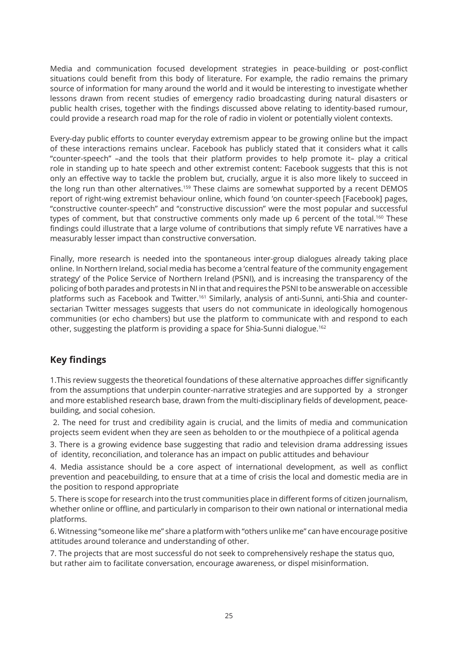Media and communication focused development strategies in peace-building or post-conflict situations could benefit from this body of literature. For example, the radio remains the primary source of information for many around the world and it would be interesting to investigate whether lessons drawn from recent studies of emergency radio broadcasting during natural disasters or public health crises, together with the findings discussed above relating to identity-based rumour, could provide a research road map for the role of radio in violent or potentially violent contexts.

Every-day public efforts to counter everyday extremism appear to be growing online but the impact of these interactions remains unclear. Facebook has publicly stated that it considers what it calls "counter-speech" –and the tools that their platform provides to help promote it– play a critical role in standing up to hate speech and other extremist content: Facebook suggests that this is not only an effective way to tackle the problem but, crucially, argue it is also more likely to succeed in the long run than other alternatives.<sup>159</sup> These claims are somewhat supported by a recent DEMOS report of right-wing extremist behaviour online, which found 'on counter-speech [Facebook] pages, "constructive counter-speech" and "constructive discussion" were the most popular and successful types of comment, but that constructive comments only made up 6 percent of the total.<sup>160</sup> These findings could illustrate that a large volume of contributions that simply refute VE narratives have a measurably lesser impact than constructive conversation.

Finally, more research is needed into the spontaneous inter-group dialogues already taking place online. In Northern Ireland, social media has become a 'central feature of the community engagement strategy' of the Police Service of Northern Ireland (PSNI), and is increasing the transparency of the policing of both parades and protests in NI in that and requires the PSNI to be answerable on accessible platforms such as Facebook and Twitter.<sup>161</sup> Similarly, analysis of anti-Sunni, anti-Shia and countersectarian Twitter messages suggests that users do not communicate in ideologically homogenous communities (or echo chambers) but use the platform to communicate with and respond to each other, suggesting the platform is providing a space for Shia-Sunni dialogue.<sup>162</sup>

# **Key findings**

1.This review suggests the theoretical foundations of these alternative approaches differ significantly from the assumptions that underpin counter-narrative strategies and are supported by a stronger and more established research base, drawn from the multi-disciplinary fields of development, peacebuilding, and social cohesion.

 2. The need for trust and credibility again is crucial, and the limits of media and communication projects seem evident when they are seen as beholden to or the mouthpiece of a political agenda

3. There is a growing evidence base suggesting that radio and television drama addressing issues of identity, reconciliation, and tolerance has an impact on public attitudes and behaviour

4. Media assistance should be a core aspect of international development, as well as conflict prevention and peacebuilding, to ensure that at a time of crisis the local and domestic media are in the position to respond appropriate

5. There is scope for research into the trust communities place in different forms of citizen journalism, whether online or offline, and particularly in comparison to their own national or international media platforms.

6. Witnessing "someone like me" share a platform with "others unlike me" can have encourage positive attitudes around tolerance and understanding of other.

7. The projects that are most successful do not seek to comprehensively reshape the status quo, but rather aim to facilitate conversation, encourage awareness, or dispel misinformation.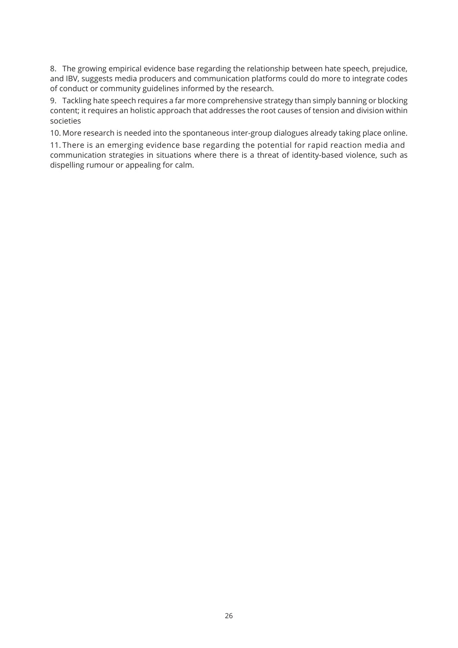8. The growing empirical evidence base regarding the relationship between hate speech, prejudice, and IBV, suggests media producers and communication platforms could do more to integrate codes of conduct or community guidelines informed by the research.

9. Tackling hate speech requires a far more comprehensive strategy than simply banning or blocking content; it requires an holistic approach that addresses the root causes of tension and division within societies

10. More research is needed into the spontaneous inter-group dialogues already taking place online.

11. There is an emerging evidence base regarding the potential for rapid reaction media and communication strategies in situations where there is a threat of identity-based violence, such as dispelling rumour or appealing for calm.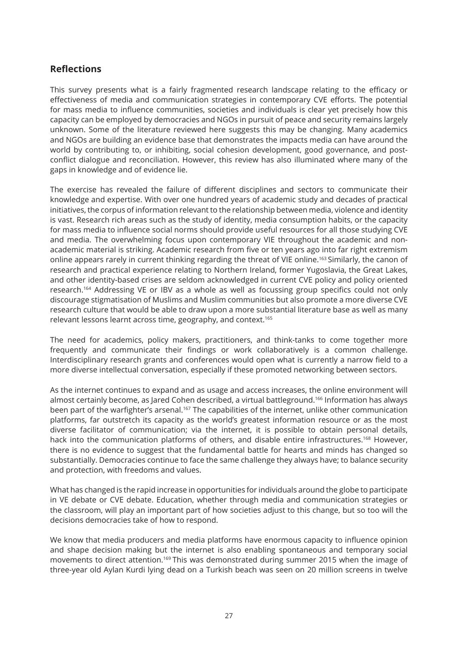# **Reflections**

This survey presents what is a fairly fragmented research landscape relating to the efficacy or effectiveness of media and communication strategies in contemporary CVE efforts. The potential for mass media to influence communities, societies and individuals is clear yet precisely how this capacity can be employed by democracies and NGOs in pursuit of peace and security remains largely unknown. Some of the literature reviewed here suggests this may be changing. Many academics and NGOs are building an evidence base that demonstrates the impacts media can have around the world by contributing to, or inhibiting, social cohesion development, good governance, and postconflict dialogue and reconciliation. However, this review has also illuminated where many of the gaps in knowledge and of evidence lie.

The exercise has revealed the failure of different disciplines and sectors to communicate their knowledge and expertise. With over one hundred years of academic study and decades of practical initiatives, the corpus of information relevant to the relationship between media, violence and identity is vast. Research rich areas such as the study of identity, media consumption habits, or the capacity for mass media to influence social norms should provide useful resources for all those studying CVE and media. The overwhelming focus upon contemporary VIE throughout the academic and nonacademic material is striking. Academic research from five or ten years ago into far right extremism online appears rarely in current thinking regarding the threat of VIE online.<sup>163</sup> Similarly, the canon of research and practical experience relating to Northern Ireland, former Yugoslavia, the Great Lakes, and other identity-based crises are seldom acknowledged in current CVE policy and policy oriented research.<sup>164</sup> Addressing VE or IBV as a whole as well as focussing group specifics could not only discourage stigmatisation of Muslims and Muslim communities but also promote a more diverse CVE research culture that would be able to draw upon a more substantial literature base as well as many relevant lessons learnt across time, geography, and context.<sup>165</sup>

The need for academics, policy makers, practitioners, and think-tanks to come together more frequently and communicate their findings or work collaboratively is a common challenge. Interdisciplinary research grants and conferences would open what is currently a narrow field to a more diverse intellectual conversation, especially if these promoted networking between sectors.

As the internet continues to expand and as usage and access increases, the online environment will almost certainly become, as Jared Cohen described, a virtual battleground.<sup>166</sup> Information has always been part of the warfighter's arsenal.<sup>167</sup> The capabilities of the internet, unlike other communication platforms, far outstretch its capacity as the world's greatest information resource or as the most diverse facilitator of communication; via the internet, it is possible to obtain personal details, hack into the communication platforms of others, and disable entire infrastructures.<sup>168</sup> However, there is no evidence to suggest that the fundamental battle for hearts and minds has changed so substantially. Democracies continue to face the same challenge they always have; to balance security and protection, with freedoms and values.

What has changed is the rapid increase in opportunities for individuals around the globe to participate in VE debate or CVE debate. Education, whether through media and communication strategies or the classroom, will play an important part of how societies adjust to this change, but so too will the decisions democracies take of how to respond.

We know that media producers and media platforms have enormous capacity to influence opinion and shape decision making but the internet is also enabling spontaneous and temporary social movements to direct attention.<sup>169</sup> This was demonstrated during summer 2015 when the image of three-year old Aylan Kurdi lying dead on a Turkish beach was seen on 20 million screens in twelve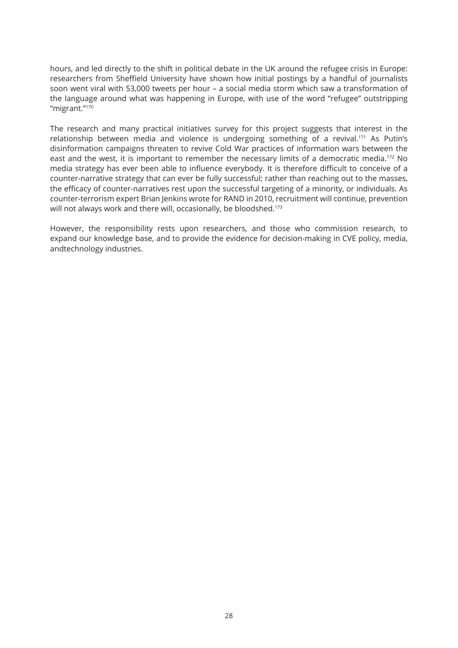hours, and led directly to the shift in political debate in the UK around the refugee crisis in Europe: researchers from Sheffield University have shown how initial postings by a handful of journalists soon went viral with 53,000 tweets per hour – a social media storm which saw a transformation of the language around what was happening in Europe, with use of the word "refugee" outstripping "migrant."<sup>170</sup>

The research and many practical initiatives survey for this project suggests that interest in the relationship between media and violence is undergoing something of a revival.<sup>171</sup> As Putin's disinformation campaigns threaten to revive Cold War practices of information wars between the east and the west, it is important to remember the necessary limits of a democratic media.<sup>172</sup> No media strategy has ever been able to influence everybody. It is therefore difficult to conceive of a counter-narrative strategy that can ever be fully successful; rather than reaching out to the masses, the efficacy of counter-narratives rest upon the successful targeting of a minority, or individuals. As counter-terrorism expert Brian Jenkins wrote for RAND in 2010, recruitment will continue, prevention will not always work and there will, occasionally, be bloodshed.<sup>173</sup>

However, the responsibility rests upon researchers, and those who commission research, to expand our knowledge base, and to provide the evidence for decision-making in CVE policy, media, andtechnology industries.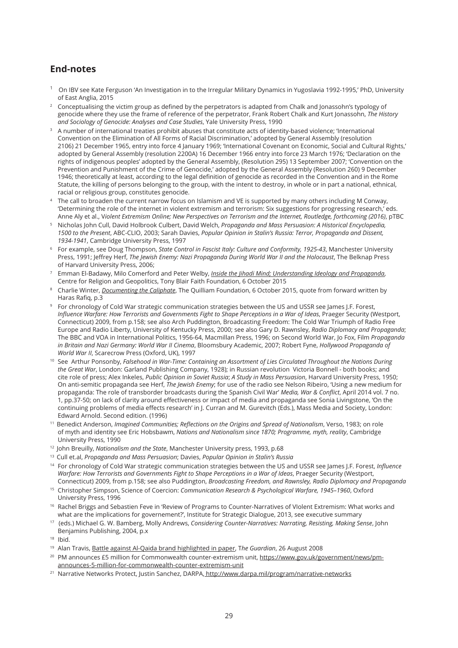# **End-notes**

- <sup>1</sup> On IBV see Kate Ferguson 'An Investigation in to the Irregular Military Dynamics in Yugoslavia 1992-1995,' PhD, University of East Anglia, 2015
- <sup>2</sup>Conceptualising the victim group as defined by the perpetrators is adapted from Chalk and Jonassohn's typology of genocide where they use the frame of reference of the perpetrator, Frank Robert Chalk and Kurt Jonassohn, *The History and Sociology of Genocide: Analyses and Case Studies*, Yale University Press, 1990
- <sup>3</sup> A number of international treaties prohibit abuses that constitute acts of identity-based violence; 'International Convention on the Elimination of All Forms of Racial Discrimination,' adopted by General Assembly (resolution 2106) 21 December 1965, entry into force 4 January 1969; 'International Covenant on Economic, Social and Cultural Rights,' adopted by General Assembly (resolution 2200A) 16 December 1966 entry into force 23 March 1976; 'Declaration on the rights of indigenous peoples' adopted by the General Assembly, (Resolution 295) 13 September 2007; 'Convention on the Prevention and Punishment of the Crime of Genocide,' adopted by the General Assembly (Resolution 260) 9 December 1946; theoretically at least, according to the legal definition of genocide as recorded in the Convention and in the Rome Statute, the killing of persons belonging to the group, with the intent to destroy, in whole or in part a national, ethnical, racial or religious group, constitutes genocide.
- <sup>4</sup>The call to broaden the current narrow focus on Islamism and VE is supported by many others including M Conway, 'Determining the role of the internet in violent extremism and terrorism: Six suggestions for progressing research,' eds. Anne Aly et al., V*iolent Extremism Online; New Perspectives on Terrorism and the Internet, Routledge, forthcoming (2016)*, pTBC
- <sup>5</sup>Nicholas John Cull, David Holbrook Culbert, David Welch, *Propaganda and Mass Persuasion: A Historical Encyclopedia, 1500 to the Present*, ABC-CLIO, 2003; Sarah Davies, *Popular Opinion in Stalin's Russia: Terror, Propaganda and Dissent, 1934-1941*, Cambridge University Press, 1997
- <sup>6</sup> For example, see Doug Thompson, *State Control in Fascist Italy: Culture and Conformity, 1925-43*, Manchester University Press, 1991; Jeffrey Herf, *The Jewish Enemy: Nazi Propaganda During World War II and the Holocaust*, The Belknap Press of Harvard University Press, 2006;
- <sup>7</sup>Emman El-Badawy, Milo Comerford and Peter Welby, *Inside the Jihadi Mind; Understanding Ideology and Propaganda*, Centre for Religion and Geopolitics, Tony Blair Faith Foundation, 6 October 2015
- <sup>8</sup>Charlie Winter, *Documenting the Caliphate*, The Quilliam Foundation, 6 October 2015, quote from forward written by Haras Rafiq, p.3
- <sup>9</sup>For chronology of Cold War strategic communication strategies between the US and USSR see James J.F. Forest, *Influence Warfare: How Terrorists and Governments Fight to Shape Perceptions in a War of Ideas*, Praeger Security (Westport, Connecticut) 2009, from p.158; see also Arch Puddington, Broadcasting Freedom: The Cold War Triumph of Radio Free Europe and Radio Liberty, University of Kentucky Press, 2000; see also Gary D. Rawnsley, *Radio Diplomacy and Propaganda*; The BBC and VOA in International Politics, 1956-64, Macmillan Press, 1996; on Second World War, Jo Fox, Film *Propaganda in Britain and Nazi Germany: World War II Cinema*, Bloomsbury Academic, 2007; Robert Fyne, *Hollywood Propaganda of World War II*, Scarecrow Press (Oxford, UK), 1997
- <sup>10</sup> See Arthur Ponsonby, *Falsehood in War-Time: Containing an Assortment of Lies Circulated Throughout the Nations During the Great War*, London: Garland Publishing Company, 1928); in Russian revolution Victoria Bonnell - both books; and cite role of press; Alex Inkeles, *Public Opinion in Soviet Russia*; *A Study in Mass Persuasion*, Harvard University Press, 1950; On anti-semitic propaganda see Herf, *The Jewish Enemy*; for use of the radio see Nelson Ribeiro, 'Using a new medium for propaganda: The role of transborder broadcasts during the Spanish Civil War' *Media, War & Conflict*, April 2014 vol. 7 no. 1, pp.37-50; on lack of clarity around effectiveness or impact of media and propaganda see Sonia Livingstone, 'On the continuing problems of media effects research' in J. Curran and M. Gurevitch (Eds.), Mass Media and Society, London: Edward Arnold. Second edition. (1996)
- <sup>11</sup>Benedict Anderson, *Imagined Communities; Reflections on the Origins and Spread of Nationalism*, Verso, 1983; on role of myth and identity see Eric Hobsbawm, *Nations and Nationalism since 1870; Programme, myth, reality*, Cambridge University Press, 1990
- <sup>12</sup> John Breuilly, *Nationalism and the State*, Manchester University press, 1993, p.68
- <sup>13</sup> Cull et.al, *Propaganda and Mass Persuasion*; Davies, *Popular Opinion in Stalin's Russia*
- <sup>14</sup> For chronology of Cold War strategic communication strategies between the US and USSR see James J.F. Forest, *Influence Warfare: How Terrorists and Governments Fight to Shape Perceptions in a War of Ideas*, Praeger Security (Westport, Connecticut) 2009, from p.158; see also Puddington, *Broadcasting Freedom, and Rawnsley, Radio Diplomacy and Propaganda*
- <sup>15</sup> Christopher Simpson, Science of Coercion: *Communication Research & Psychological Warfare, 1945-1960*, Oxford University Press, 1996
- <sup>16</sup> Rachel Briggs and Sebastien Feve in 'Review of Programs to Counter-Narratives of VIolent Extremism: What works and what are the implications for governement?', Institute for Strategic Dialogue, 2013, see executive summary
- <sup>17</sup> (eds.) Michael G. W. Bamberg, Molly Andrews, *Considering Counter-Narratives: Narrating, Resisting, Making Sense*, John Benjamins Publishing, 2004, p.x
- $18$  Ibid.
- <sup>19</sup> Alan Travis, Battle against Al-Qaida brand highlighted in paper, The Guardian, 26 August 2008
- <sup>20</sup> PM announces £5 million for Commonwealth counter-extremism unit, https://www.gov.uk/government/news/pmannounces-5-million-for-commonwealth-counter-extremism-unit
- <sup>21</sup> Narrative Networks Protect, Justin Sanchez, DARPA, http://www.darpa.mil/program/narrative-networks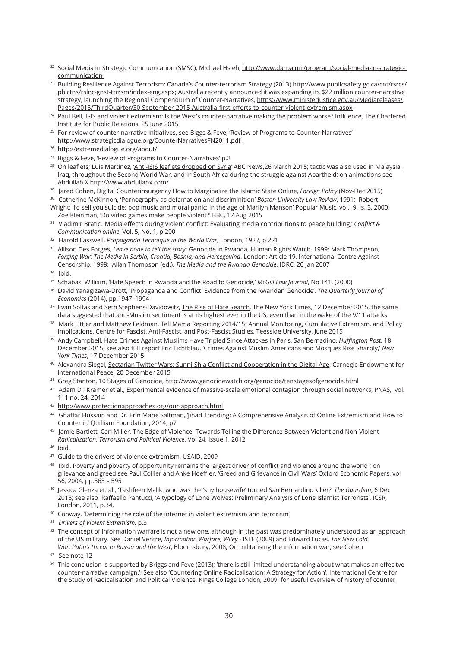- <sup>22</sup> Social Media in Strategic Communication (SMSC), Michael Hsieh, http://www.darpa.mil/program/social-media-in-strategiccommunication
- <sup>23</sup> Building Resilience Against Terrorism: Canada's Counter-terrorism Strategy (2013) http://www.publicsafety.gc.ca/cnt/rsrcs/ pblctns/rslnc-gnst-trrrsm/index-eng.aspx; Australia recently announced it was expanding its \$22 million counter-narrative strategy, launching the Regional Compendium of Counter-Narratives, https://www.ministerjustice.gov.au/Mediareleases/ Pages/2015/ThirdQuarter/30-September-2015-Australia-first-efforts-to-counter-violent-extremism.aspx
- <sup>24</sup> Paul Bell, ISIS and violent extremism: Is the West's counter-narrative making the problem worse? Influence, The Chartered Institute for Public Relations, 25 June 2015
- <sup>25</sup> For review of counter-narrative initiatives, see Biggs & Feve, 'Review of Programs to Counter-Narratives' http://www.strategicdialogue.org/CounterNarrativesFN2011.pdf
- <sup>26</sup> http://extremedialogue.org/about/
- <sup>27</sup> Biggs & Feve, 'Review of Programs to Counter-Narratives' p.2
- <sup>28</sup> On leaflets; Luis Martinez, 'Anti-ISIS leaflets dropped on Syria' ABC News,26 March 2015; tactic was also used in Malaysia, Iraq, throughout the Second World War, and in South Africa during the struggle against Apartheid; on animations see Abdullah X http://www.abdullahx.com/
- <sup>29</sup> Jared Cohen, Digital Counterinsurgency How to Marginalize the Islamic State Online, *Foreign Policy* (Nov-Dec 2015)
- <sup>30</sup> Catherine McKinnon, 'Pornography as defamation and discriminition' *Boston University Law Review*, 1991; Robert Wright; 'I'd sell you suicide; pop music and moral panic; in the age of Marilyn Manson' Popular Music, vol.19, Is. 3, 2000;
- Zoe Kleinman, 'Do video games make people violent?' BBC, 17 Aug 2015 <sup>31</sup> Vladimir Bratic, 'Media effects during violent conflict: Evaluating media contributions to peace building,' *Conflict & Communication online*, Vol. 5, No. 1, p.200
- <sup>32</sup> Harold Lasswell, *Propaganda Technique in the World War*, London, 1927, p.221
- <sup>33</sup>Allison Des Forges, *Leave none to tell the story*; Genocide in Rwanda, Human Rights Watch, 1999; Mark Thompson, *Forging War: The Media in Serbia, Croatia, Bosnia, and Hercegovina*. London: Article 19, International Centre Against Censorship, 1999; Allan Thompson (ed.), *The Media and the Rwanda Genocide*, IDRC, 20 Jan 2007
- $34$  Ibid.
- <sup>35</sup> Schabas, William, 'Hate Speech in Rwanda and the Road to Genocide,' *McGill Law Journal*, No.141, (2000)
- <sup>36</sup> David Yanagizawa-Drott, 'Propaganda and Conflict: Evidence from the Rwandan Genocide', *The Quarterly Journal of Economics* (2014), pp.1947–1994
- <sup>37</sup> Evan Soltas and Seth Stephens-Davidowitz, The Rise of Hate Search, The New York Times, 12 December 2015, the same data suggested that anti-Muslim sentiment is at its highest ever in the US, even than in the wake of the 9/11 attacks
- 38 Mark Littler and Matthew Feldman, Tell Mama Reporting 2014/15: Annual Monitoring, Cumulative Extremism, and Policy Implications, Centre for Fascist, Anti-Fascist, and Post-Fascist Studies, Teesside University, June 2015
- <sup>39</sup> Andy Campbell, Hate Crimes Against Muslims Have Tripled Since Attackes in Paris, San Bernadino, *Huffington Post*, 18 December 2015; see also full report Eric Lichtblau, 'Crimes Against Muslim Americans and Mosques Rise Sharply,' *New York Times*, 17 December 2015
- 40 Alexandra Siegel, Sectarian Twitter Wars: Sunni-Shia Conflict and Cooperation in the Digital Age, Carnegie Endowment for International Peace, 20 December 2015
- 41 Greg Stanton, 10 Stages of Genocide, http://www.genocidewatch.org/genocide/tenstagesofgenocide.html
- 42 Adam D I Kramer et al., Experimental evidence of massive-scale emotional contagion through social networks, PNAS, vol. 111 no. 24, 2014
- 43 http://www.protectionapproaches.org/our-approach.html
- <sup>44</sup> Ghaffar Hussain and Dr. Erin Marie Saltman, 'Jihad Trending: A Comprehensive Analysis of Online Extremism and How to Counter it,' Quilliam Foundation, 2014, p7
- <sup>45</sup> Jamie Bartlett, Carl Miller, The Edge of Violence: Towards Telling the Difference Between Violent and Non-Violent *Radicalization, Terrorism and Political Violence*, Vol 24, Issue 1, 2012
- <sup>46</sup> Ibid.
- 47 Guide to the drivers of violence extremism, USAID, 2009
- 48 Ibid. Poverty and poverty of opportunity remains the largest driver of conflict and violence around the world; on grievance and greed see Paul Collier and Anke Hoeffler, 'Greed and Grievance in Civil Wars' Oxford Economic Papers, vol 56, 2004, pp.563 – 595
- <sup>49</sup> Jessica Glenza et. al., 'Tashfeen Malik: who was the 'shy housewife' turned San Bernardino killer?' The Guardian, 6 Dec 2015; see also Raffaello Pantucci, 'A typology of Lone Wolves: Preliminary Analysis of Lone Islamist Terrorists', ICSR, London, 2011, p.34.
- <sup>50</sup> Conway, 'Determining the role of the internet in violent extremism and terrorism'
- <sup>51</sup> *Drivers of Violent Extremism,* p.3
- $52$  The concept of information warfare is not a new one, although in the past was predominately understood as an approach of the US military. See Daniel Ventre, *Information Warfare, Wiley* - ISTE (2009) and Edward Lucas, *The New Cold War; Putin's threat to Russia and the West*, Bloomsbury, 2008; On militarising the information war, see Cohen
- <sup>53</sup> See note 12
- <sup>54</sup> This conclusion is supported by Briggs and Feve (2013); 'there is still limited understanding about what makes an effecitve counter-narrative campaign.'; See also 'Countering Online Radicalisation; A Strategy for Action', International Centre for the Study of Radicalisation and Political Violence, Kings College London, 2009; for useful overview of history of counter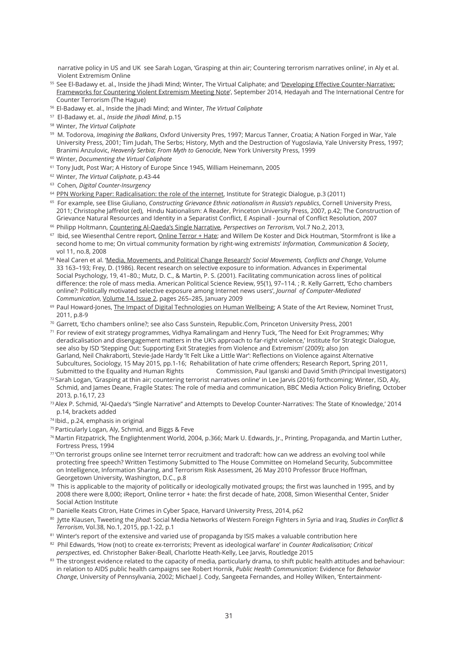narrative policy in US and UK see Sarah Logan, 'Grasping at thin air; Countering terrorism narratives online', in Aly et al. Violent Extremism Online

- <sup>55</sup> See El-Badawy et. al., Inside the Jihadi Mind; Winter, The Virtual Caliphate; and 'Developing Effective Counter-Narrative; Frameworks for Countering Violent Extremism Meeting Note', September 2014, Hedayah and The International Centre for Counter Terrorism (The Hague)
- <sup>56</sup>El-Badawy et. al., Inside the Jihadi Mind; and Winter, *The Virtual Caliphate*
- <sup>57</sup> El-Badawy et. al., *Inside the Jihadi Mind*, p.15
- <sup>58</sup>Winter, *The Virtual Caliphate*
- <sup>59</sup> M. Todorova, *Imagining the Balkans*, Oxford University Pres, 1997; Marcus Tanner, Croatia; A Nation Forged in War, Yale University Press, 2001; Tim Judah, The Serbs; History, Myth and the Destruction of Yugoslavia, Yale University Press, 1997; Branimi Anzulovic, *Heavenly Serbia*; *From Myth to Genocide*, New York University Press, 1999
- <sup>60</sup>Winter, *Documenting the Virtual Caliphate*
- <sup>61</sup> Tony Judt, Post War; A History of Europe Since 1945, William Heinemann, 2005
- <sup>62</sup>Winter, *The Virtual Caliphate*, p.43-44
- <sup>63</sup> Cohen, *Digital Counter-Insurgency*
- <sup>64</sup> PPN Working Paper: Radicalisation: the role of the internet, Institute for Strategic Dialogue, p.3 (2011)
- <sup>65</sup> For example, see Elise Giuliano, *Constructing Grievance Ethnic nationalism in Russia's republics*, Cornell University Press, 2011; Christophe Jaffrelot (ed), Hindu Nationalism: A Reader, Princeton University Press, 2007, p.42; The Construction of Grievance Natural Resources and Identity in a Separatist Conflict, E Aspinall - Journal of Conflict Resolution, 2007
- <sup>66</sup> Philipp Holtmann, Countering Al-Qaeda's Single Narrative, *Perspectives on Terrorism*, Vol.7 No.2, 2013,
- <sup>67</sup> Ibid, see Wiesenthal Centre report, Online Terror + Hate; and Willem De Koster and Dick Houtman, 'Stormfront is like a second home to me; On virtual community formation by right-wing extremists' *Information, Communication & Society*, vol 11, no.8, 2008
- <sup>68</sup> Neal Caren et al. 'Media, Movements, and Political Change Research' Social Movements, Conflicts and Change, Volume 33 163–193; Frey, D. (1986). Recent research on selective exposure to information. Advances in Experimental Social Psychology, 19, 41–80.; Mutz, D. C., & Martin, P. S. (2001). Facilitating communication across lines of political difference: the role of mass media. American Political Science Review, 95(1), 97–114. ; R. Kelly Garrett, 'Echo chambers online?: Politically motivated selective exposure among Internet news users', *Journal of Computer-Mediated Communication*, Volume 14, Issue 2, pages 265–285, January 2009
- 69 Paul Howard-Jones, The Impact of Digital Technologies on Human Wellbeing; A State of the Art Review, Nominet Trust, 2011, p.8-9
- <sup>70</sup>Garrett, 'Echo chambers online?; see also Cass Sunstein, Republic.Com, Princeton University Press, 2001
- 71 For review of exit strategy programmes, Vidhya Ramalingam and Henry Tuck, 'The Need for Exit Programmes; Why deradicalisation and disengagement matters in the UK's approach to far-right violence,' Institute for Strategic Dialogue, see also by ISD 'Stepping Out: Supporting Exit Strategies from Violence and Extremism' (2009); also Jon Garland, Neil Chakraborti, Stevie-Jade Hardy 'It Felt Like a Little War': Reflections on Violence against Alternative Subcultures, Sociology, 15 May 2015, pp.1-16; Rehabilitation of hate crime offenders; Research Report, Spring 2011, Submitted to the Equality and Human Rights Commission, Paul Iganski and David Smith (Principal Investigators)
- $72$  Sarah Logan, 'Grasping at thin air; countering terrorist narratives online' in Lee Jarvis (2016) forthcoming; Winter, ISD, Aly, Schmid, and James Deane, Fragile States: The role of media and communication, BBC Media Action Policy Briefing, October 2013, p.16,17, 23
- <sup>73</sup>Alex P. Schmid, 'Al-Qaeda's "Single Narrative" and Attempts to Develop Counter-Narratives: The State of Knowledge,' 2014 p.14, brackets added
- <sup>74</sup>Ibid., p.24, emphasis in original
- <sup>75</sup>Particularly Logan, Aly, Schmid, and Biggs & Feve
- <sup>76</sup>Martin Fitzpatrick, The Englightenment World, 2004, p.366; Mark U. Edwards, Jr., Printing, Propaganda, and Martin Luther, Fortress Press, 1994
- 77'On terrorist groups online see Internet terror recruitment and tradcraft: how can we address an evolving tool while protecting free speech? Written Testimony Submitted to The House Committee on Homeland Security, Subcommittee on Intelligence, Information Sharing, and Terrorism Risk Assessment, 26 May 2010 Professor Bruce Hoffman, Georgetown University, Washington, D.C., p.8
- $78$  This is applicable to the majority of politically or ideologically motivated groups; the first was launched in 1995, and by 2008 there were 8,000; iReport, Online terror + hate: the first decade of hate, 2008, Simon Wiesenthal Center, Snider Social Action Institute
- <sup>79</sup> Danielle Keats Citron, Hate Crimes in Cyber Space, Harvard University Press, 2014, p62
- <sup>80</sup> Jytte Klausen, Tweeting the *Jihad*: Social Media Networks of Western Foreign Fighters in Syria and Iraq, *Studies in Conflict & Terrorism*, Vol.38, No.1, 2015, pp.1-22, p.1
- 81 Winter's report of the extensive and varied use of propaganda by ISIS makes a valuable contribution here
- <sup>82</sup> Phil Edwards, 'How (not) to create ex-terrorists; Prevent as ideological warfare' in *Counter Radicalisation; Critical perspectives*, ed. Christopher Baker-Beall, Charlotte Heath-Kelly, Lee Jarvis, Routledge 2015
- $83$  The strongest evidence related to the capacity of media, particularly drama, to shift public health attitudes and behaviour: in relation to AIDS public health campaigns see Robert Hornik, *Public Health Communication*: Evidence for *Behavior Change*, University of Pennsylvania, 2002; Michael J. Cody, Sangeeta Fernandes, and Holley Wilken, 'Entertainment-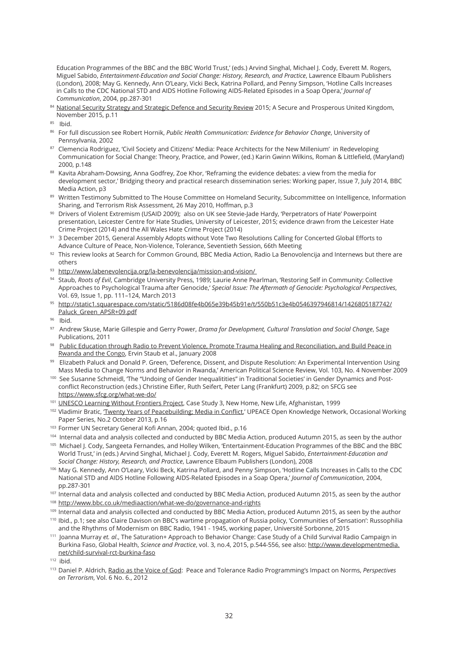Education Programmes of the BBC and the BBC World Trust,' (eds.) Arvind Singhal, Michael J. Cody, Everett M. Rogers, Miguel Sabido, *Entertainment-Education and Social Change: History, Research, and Practice*, Lawrence Elbaum Publishers (London), 2008; May G. Kennedy, Ann O'Leary, Vicki Beck, Katrina Pollard, and Penny Simpson, 'Hotline Calls Increases in Calls to the CDC National STD and AIDS Hotline Following AIDS-Related Episodes in a Soap Opera,' *Journal of Communication*, 2004, pp.287-301

- 84 National Security Strategy and Strategic Defence and Security Review 2015; A Secure and Prosperous United Kingdom, November 2015, p.11
- <sup>85</sup> Ibid.
- 86 For full discussion see Robert Hornik, *Public Health Communication: Evidence for Behavior Change*, University of Pennsylvania, 2002
- 87 Clemencia Rodriguez, 'Civil Society and Citizens' Media: Peace Architects for the New Millenium' in Redeveloping Communication for Social Change: Theory, Practice, and Power, (ed.) Karin Gwinn Wilkins, Roman & Littlefield, (Maryland) 2000, p.148
- 88 Kavita Abraham-Dowsing, Anna Godfrey, Zoe Khor, 'Reframing the evidence debates: a view from the media for development sector,' Bridging theory and practical research dissemination series: Working paper, Issue 7, July 2014, BBC Media Action, p3
- 89 Written Testimony Submitted to The House Committee on Homeland Security, Subcommittee on Intelligence, Information Sharing, and Terrorism Risk Assessment, 26 May 2010, Hoffman, p.3
- 90 Drivers of Violent Extremism (USAID 2009); also on UK see Stevie-Jade Hardy, 'Perpetrators of Hate' Powerpoint presentation, Leicester Centre for Hate Studies, University of Leicester, 2015; evidence drawn from the Leicester Hate Crime Project (2014) and the All Wales Hate Crime Project (2014)
- <sup>91</sup>3 December 2015, General Assembly Adopts without Vote Two Resolutions Calling for Concerted Global Efforts to Advance Culture of Peace, Non-Violence, Tolerance, Seventieth Session, 66th Meeting
- $92$  This review looks at Search for Common Ground, BBC Media Action, Radio La Benovolencija and Internews but there are others
- 93 http://www.labenevolencija.org/la-benevolencija/mission-and-vision/
- 94 Staub, *Roots of Evil*, Cambridge University Press, 1989; Laurie Anne Pearlman, 'Restoring Self in Community: Collective Approaches to Psychological Trauma after Genocide,' *Special Issue: The Aftermath of Genocide: Psychological Perspectives*, Vol. 69, Issue 1, pp. 111–124, March 2013
- <sup>95</sup>http://static1.squarespace.com/static/5186d08fe4b065e39b45b91e/t/550b51c3e4b0546397946814/1426805187742/ Paluck Green APSR+09.pdf
- <sup>96</sup> Ibid.
- <sup>97</sup> Andrew Skuse, Marie Gillespie and Gerry Power, *Drama for Development, Cultural Translation and Social Change*, Sage Publications, 2011
- <sup>98</sup> Public Education through Radio to Prevent Violence, Promote Trauma Healing and Reconciliation, and Build Peace in Rwanda and the Congo, Ervin Staub et al., January 2008
- 99 Elizabeth Paluck and Donald P. Green, 'Deference, Dissent, and Dispute Resolution: An Experimental Intervention Using Mass Media to Change Norms and Behavior in Rwanda,' American Political Science Review, Vol. 103, No. 4 November 2009
- 100 See Susanne Schmeidl, 'The "Undoing of Gender Inequalitities" in Traditional Societies' in Gender Dynamics and Postconflict Reconstruction (eds.) Christine Eifler, Ruth Seifert, Peter Lang (Frankfurt) 2009, p.82; on SFCG see https://www.sfcg.org/what-we-do/
- 101 UNESCO Learning Without Frontiers Project, Case Study 3, New Home, New Life, Afghanistan, 1999
- <sup>102</sup> Vladimir Bratic, Twenty Years of Peacebuilding; Media in Conflict,' UPEACE Open Knowledge Network, Occasional Working Paper Series, No.2 October 2013, p.16
- <sup>103</sup> Former UN Secretary General Kofi Annan, 2004; quoted Ibid., p.16
- 104 Internal data and analysis collected and conducted by BBC Media Action, produced Autumn 2015, as seen by the author
- <sup>105</sup> Michael J. Cody, Sangeeta Fernandes, and Holley Wilken, 'Entertainment-Education Programmes of the BBC and the BBC World Trust,' in (eds.) Arvind Singhal, Michael J. Cody, Everett M. Rogers, Miguel Sabido, *Entertainment-Education and Social Change: History, Research, and Practice*, Lawrence Elbaum Publishers (London), 2008
- 106 May G. Kennedy, Ann O'Leary, Vicki Beck, Katrina Pollard, and Penny Simpson, 'Hotline Calls Increases in Calls to the CDC National STD and AIDS Hotline Following AIDS-Related Episodes in a Soap Opera,' *Journal of Communication*, 2004, pp.287-301
- <sup>107</sup> Internal data and analysis collected and conducted by BBC Media Action, produced Autumn 2015, as seen by the author
- 108 http://www.bbc.co.uk/mediaaction/what-we-do/governance-and-rights
- <sup>109</sup> Internal data and analysis collected and conducted by BBC Media Action, produced Autumn 2015, as seen by the author
- <sup>110</sup> Ibid., p.1; see also Claire Davison on BBC's wartime propagation of Russia policy, 'Communities of Sensation': Russophilia and the Rhythms of Modernism on BBC Radio, 1941 - 1945, working paper, Université Sorbonne, 2015
- <sup>111</sup> Joanna Murray *et. al*., The Saturation+ Approach to Behavior Change: Case Study of a Child Survival Radio Campaign in Burkina Faso, Global Health, *Science and Practice*, vol. 3, no.4, 2015, p.544-556, see also: http://www.developmentmedia. net/child-survival-rct-burkina-faso

 $112$  ibid.

<sup>113</sup>Daniel P. Aldrich, Radio as the Voice of God: Peace and Tolerance Radio Programming's Impact on Norms, *Perspectives on Terrorism*, Vol. 6 No. 6., 2012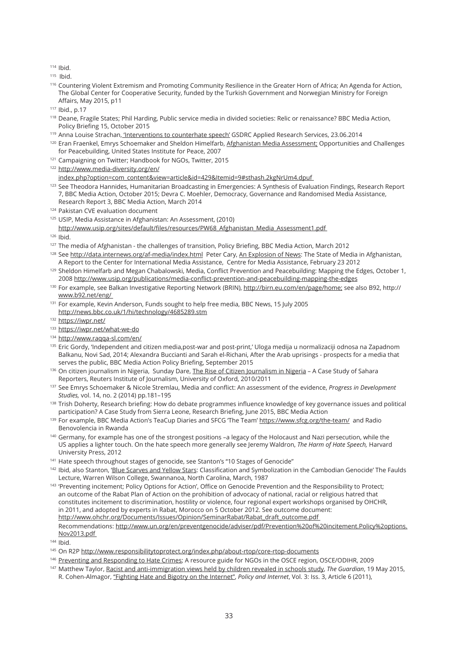$114$  Ibid.

 $115$  Ihid.

- 116 Countering Violent Extremism and Promoting Community Resilience in the Greater Horn of Africa; An Agenda for Action, The Global Center for Cooperative Security, funded by the Turkish Government and Norwegian Ministry for Foreign Affairs, May 2015, p11
- <sup>117</sup> Ibid., p.17
- <sup>118</sup> Deane, Fragile States; Phil Harding, Public service media in divided societies: Relic or renaissance? BBC Media Action, Policy Briefing 15, October 2015
- 119 Anna Louise Strachan, 'Interventions to counterhate speech' GSDRC Applied Research Services, 23.06.2014
- <sup>120</sup> Eran Fraenkel, Emrys Schoemaker and Sheldon Himelfarb, Afghanistan Media Assessment; Opportunities and Challenges for Peacebuilding, United States Institute for Peace, 2007
- <sup>121</sup> Campaigning on Twitter; Handbook for NGOs, Twitter, 2015
- <sup>122</sup> http://www.media-diversity.org/en/ index.php?option=com\_content&view=article&id=429&Itemid=9#sthash.2kgNrUm4.dpuf
- <sup>123</sup> See Theodora Hannides, Humanitarian Broadcasting in Emergencies: A Synthesis of Evaluation Findings, Research Report 7, BBC Media Action, October 2015; Devra C. Moehler, Democracy, Governance and Randomised Media Assistance, Research Report 3, BBC Media Action, March 2014
- <sup>124</sup> Pakistan CVE evaluation document
- <sup>125</sup> USIP, Media Assistance in Afghanistan: An Assessment, (2010)
- http://www.usip.org/sites/default/files/resources/PW68\_Afghanistan\_Media\_Assessment1.pdf

<sup>126</sup> Ibid.

- 127 The media of Afghanistan the challenges of transition, Policy Briefing, BBC Media Action, March 2012
- <sup>128</sup> See http://data.internews.org/af-media/index.html Peter Cary, An Explosion of News: The State of Media in Afghanistan, A Report to the Center for International Media Assistance, Centre for Media Assistance, February 23 2012
- <sup>129</sup> Sheldon Himelfarb and Megan Chabalowski, Media, Conflict Prevention and Peacebuilding: Mapping the Edges, October 1, 2008 http://www.usip.org/publications/media-conflict-prevention-and-peacebuilding-mapping-the-edges
- <sup>130</sup> For example, see Balkan Investigative Reporting Network (BRIN), http://birn.eu.com/en/page/home; see also B92, http:// www.b92.net/eng/
- 131 For example, Kevin Anderson, Funds sought to help free media, BBC News, 15 July 2005 http://news.bbc.co.uk/1/hi/technology/4685289.stm
- 132 https://iwpr.net/
- 133 https://iwpr.net/what-we-do
- 134 http://www.raqqa-sl.com/en/
- <sup>135</sup> Eric Gordy, 'Independent and citizen media,post-war and post-print,' Uloga medija u normalizaciji odnosa na Zapadnom Balkanu, Novi Sad, 2014; Alexandra Buccianti and Sarah el-Richani, After the Arab uprisings - prospects for a media that serves the public, BBC Media Action Policy Briefing, September 2015
- 136 On citizen journalism in Nigeria, Sunday Dare, The Rise of Citizen Journalism in Nigeria A Case Study of Sahara Reporters, Reuters Institute of Journalism, University of Oxford, 2010/2011
- <sup>137</sup>See Emrys Schoemaker & Nicole Stremlau, Media and conflict: An assessment of the evidence, *Progress in Development Studies,* vol. 14, no. 2 (2014) pp.181–195
- <sup>138</sup> Trish Doherty, Research briefing: How do debate programmes influence knowledge of key governance issues and political participation? A Case Study from Sierra Leone, Research Briefing, June 2015, BBC Media Action
- 139 For example, BBC Media Action's TeaCup Diaries and SFCG 'The Team' https://www.sfcg.org/the-team/ and Radio Benovolencia in Rwanda
- <sup>140</sup>Germany, for example has one of the strongest positions –a legacy of the Holocaust and Nazi persecution, while the US applies a lighter touch. On the hate speech more generally see Jeremy Waldron, *The Harm of Hate Speech,* Harvard University Press, 2012
- 141 Hate speech throughout stages of genocide, see Stanton's "10 Stages of Genocide"
- <sup>142</sup> Ibid, also Stanton, 'Blue Scarves and Yellow Stars: Classification and Symbolization in the Cambodian Genocide' The Faulds Lecture, Warren Wilson College, Swannanoa, North Carolina, March, 1987
- <sup>143</sup>'Preventing incitement; Policy Options for Action', Office on Genocide Prevention and the Responsibility to Protect; an outcome of the Rabat Plan of Action on the prohibition of advocacy of national, racial or religious hatred that constitutes incitement to discrimination, hostility or violence, four regional expert workshops organised by OHCHR, in 2011, and adopted by experts in Rabat, Morocco on 5 October 2012. See outcome document: http://www.ohchr.org/Documents/Issues/Opinion/SeminarRabat/Rabat\_draft\_outcome.pdf Recommendations: http://www.un.org/en/preventgenocide/adviser/pdf/Prevention%20of%20incitement.Policy%2options. Nov2013.pdf
- $144$  Ibid.
- 145 On R2P http://www.responsibilitytoprotect.org/index.php/about-rtop/core-rtop-documents
- <sup>146</sup> Preventing and Responding to Hate Crimes; A resource guide for NGOs in the OSCE region, OSCE/ODIHR, 2009
- <sup>147</sup>Matthew Taylor, Racist and anti-immigration views held by children revealed in schools study, *The Guardian*, 19 May 2015, R. Cohen-Almagor, "Fighting Hate and Bigotry on the Internet", *Policy and Internet*, Vol. 3: Iss. 3, Article 6 (2011),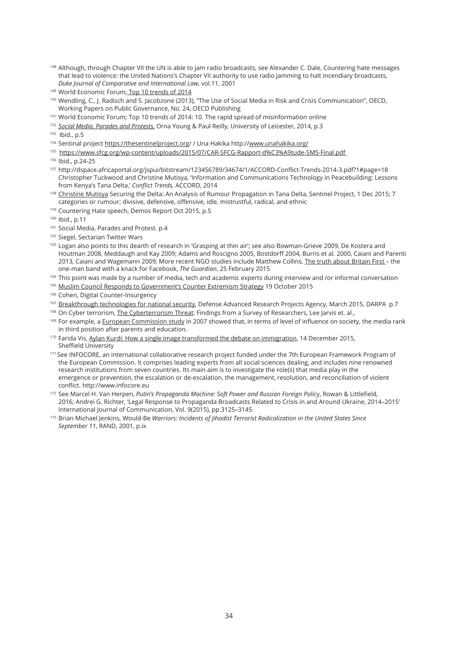- <sup>148</sup> Although, through Chapter VII the UN is able to jam radio broadcasts, see Alexander C. Dale, Countering hate messages that lead to violence: the United Nations's Chapter VII authority to use radio jamming to halt incendiary broadcasts, *Duke Journal of Comparative and International Law*, vol.11, 2001
- 149 World Economic Forum; Top 10 trends of 2014
- <sup>150</sup> Wendling, C., J. Radisch and S. Jacobzone (2013), "The Use of Social Media in Risk and Crisis Communication", OECD, Working Papers on Public Governance, No. 24, OECD Publishing
- <sup>151</sup> World Economic Forum: Top 10 trends of 2014: 10. The rapid spread of misinformation online
- <sup>152</sup>*Social Media, Parades and Protests,* Orna Young & Paul Reilly, University of Leicester, 2014, p.3

<sup>153</sup> Ibid., p.5

- 154 Sentinal project https://thesentinelproject.org/ / Una Hakika http://www.unahakika.org/
- <sup>155</sup> https://www.sfcg.org/wp-content/uploads/2015/07/CAR-SFCG-Rapport-d%C3%A9tude-SMS-Final.pdf

- <sup>157</sup>http://dspace.africaportal.org/jspui/bitstream/123456789/34674/1/ACCORD-Conflict-Trends-2014-3.pdf?1#page=18 Christopher Tuckwood and Christine Mutisya, 'Information and Communications Technology in Peacebuilding: Lessons from Kenya's Tana Delta,' *Conflict Trends,* ACCORD, 2014
- <sup>158</sup> Christine Mutisya Securing the Delta: An Analysis of Rumour Propagation in Tana Delta, Sentinel Project, 1 Dec 2015; 7 categories or rumour; divisive, defensive, offensive, idle, mistrustful, radical, and ethnic
- <sup>159</sup> Countering Hate speech, Demos Report Oct 2015, p.5
- <sup>160</sup> Ibid., p.11
- 161 Social Media, Parades and Protest. p.4
- <sup>162</sup> Siegel, Sectarian Twitter Wars
- 163 Logan also points to this dearth of research in 'Grasping at thin air'; see also Bowman-Grieve 2009, De Kostera and Houtman 2008, Meddaugh and Kay 2009; Adams and Roscigno 2005, Bostdorff 2004, Burris et al. 2000, Caiani and Parenti 2013, Caiani and Wagemann 2009; More recent NGO studies include Matthew Collins, The truth about Britain First – the one-man band with a knack for Facebook, *The Guardian*, 25 February 2015
- <sup>164</sup> This point was made by a number of media, tech and academic experts during interview and /or informal conversation
- 165 Muslim Council Responds to Government's Counter Extremism Strategy 19 October 2015
- <sup>166</sup> Cohen, Digital Counter-Insurgency
- 167 Breakthrough technologies for national security, Defense Advanced Research Projects Agency, March 2015, DARPA p.7
- 168 On Cyber terrorism, The Cyberterrorism Threat: Findings from a Survey of Researchers, Lee Jarvis et. al.,
- <sup>169</sup> For example, a European Commission study in 2007 showed that, in terms of level of influence on society, the media rank in third position after parents and education.
- 170 Farida Vis, Aylan Kurdi: How a single image transformed the debate on immigration, 14 December 2015, Sheffield University
- 171 See INFOCORE, an international collaborative research project funded under the 7th European Framework Program of the European Commission. It comprises leading experts from all social sciences dealing, and includes nine renowned research institutions from seven countries. Its main aim is to investigate the role(s) that media play in the emergence or prevention, the escalation or de-escalation, the management, resolution, and reconciliation of violent conflict. http://www.infocore.eu
- 172 See Marcel H. Van Herpen, *Putin's Propaganda Machine: Soft Power and Russian Foreign Policy*, Rowan & Littlefield, 2016; Andrei G. Richter, 'Legal Response to Propaganda Broadcasts Related to Crisis in and Around Ukraine, 2014–2015' International Journal of Communication, Vol. 9(2015), pp.3125–3145
- <sup>173</sup> Brian Michael Jenkins, Would-Be *Warriors: Incidents of Jihadist Terrorist Radicalization in the United States Since September 11*, RAND, 2001, p.ix

<sup>&</sup>lt;sup>156</sup> Ibid., p.24-25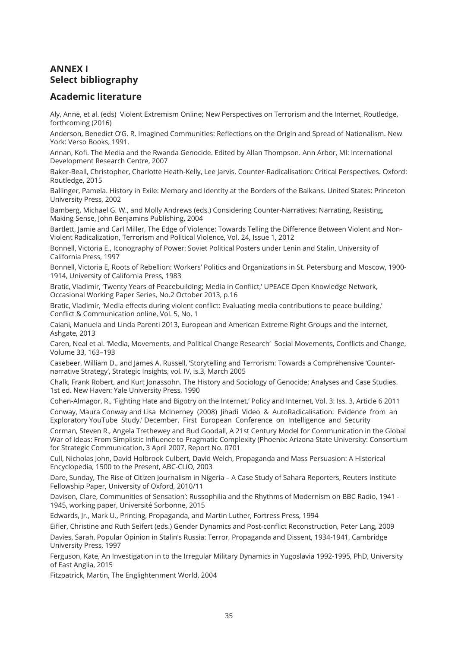# **ANNEX I Select bibliography**

#### **Academic literature**

Aly, Anne, et al. (eds) Violent Extremism Online; New Perspectives on Terrorism and the Internet, Routledge, forthcoming (2016)

Anderson, Benedict O'G. R. Imagined Communities: Reflections on the Origin and Spread of Nationalism. New York: Verso Books, 1991.

Annan, Kofi. The Media and the Rwanda Genocide. Edited by Allan Thompson. Ann Arbor, MI: International Development Research Centre, 2007

Baker-Beall, Christopher, Charlotte Heath-Kelly, Lee Jarvis. Counter-Radicalisation: Critical Perspectives. Oxford: Routledge, 2015

Ballinger, Pamela. History in Exile: Memory and Identity at the Borders of the Balkans. United States: Princeton University Press, 2002

Bamberg, Michael G. W., and Molly Andrews (eds.) Considering Counter-Narratives: Narrating, Resisting, Making Sense, John Benjamins Publishing, 2004

Bartlett, Jamie and Carl Miller, The Edge of Violence: Towards Telling the Difference Between Violent and Non-Violent Radicalization, Terrorism and Political Violence, Vol. 24, Issue 1, 2012

Bonnell, Victoria E., Iconography of Power: Soviet Political Posters under Lenin and Stalin, University of California Press, 1997

Bonnell, Victoria E, Roots of Rebellion: Workers' Politics and Organizations in St. Petersburg and Moscow, 1900- 1914, University of California Press, 1983

Bratic, Vladimir, 'Twenty Years of Peacebuilding; Media in Conflict,' UPEACE Open Knowledge Network, Occasional Working Paper Series, No.2 October 2013, p.16

Bratic, Vladimir, 'Media effects during violent conflict: Evaluating media contributions to peace building,' Conflict & Communication online, Vol. 5, No. 1

Caiani, Manuela and Linda Parenti 2013, European and American Extreme Right Groups and the Internet, Ashgate, 2013

Caren, Neal et al. 'Media, Movements, and Political Change Research' Social Movements, Conflicts and Change, Volume 33, 163–193

Casebeer, William D., and James A. Russell, 'Storytelling and Terrorism: Towards a Comprehensive 'Counternarrative Strategy', Strategic Insights, vol. IV, is.3, March 2005

Chalk, Frank Robert, and Kurt Jonassohn. The History and Sociology of Genocide: Analyses and Case Studies. 1st ed. New Haven: Yale University Press, 1990

Cohen-Almagor, R., 'Fighting Hate and Bigotry on the Internet,' Policy and Internet, Vol. 3: Iss. 3, Article 6 2011 Conway, Maura Conway and Lisa McInerney (2008) Jihadi Video & AutoRadicalisation: Evidence from an Exploratory YouTube Study,' December, First European Conference on Intelligence and Security

Corman, Steven R., Angela Trethewey and Bud Goodall, A 21st Century Model for Communication in the Global War of Ideas: From Simplistic Influence to Pragmatic Complexity (Phoenix: Arizona State University: Consortium for Strategic Communication, 3 April 2007, Report No. 0701

Cull, Nicholas John, David Holbrook Culbert, David Welch, Propaganda and Mass Persuasion: A Historical Encyclopedia, 1500 to the Present, ABC-CLIO, 2003

Dare, Sunday, The Rise of Citizen Journalism in Nigeria - A Case Study of Sahara Reporters, Reuters Institute Fellowship Paper, University of Oxford, 2010/11

Davison, Clare, Communities of Sensation': Russophilia and the Rhythms of Modernism on BBC Radio, 1941 - 1945, working paper, Université Sorbonne, 2015

Edwards, Jr., Mark U., Printing, Propaganda, and Martin Luther, Fortress Press, 1994

Eifler, Christine and Ruth Seifert (eds.) Gender Dynamics and Post-conflict Reconstruction, Peter Lang, 2009 Davies, Sarah, Popular Opinion in Stalin's Russia: Terror, Propaganda and Dissent, 1934-1941, Cambridge

University Press, 1997

Ferguson, Kate, An Investigation in to the Irregular Military Dynamics in Yugoslavia 1992-1995, PhD, University of East Anglia, 2015

Fitzpatrick, Martin, The Englightenment World, 2004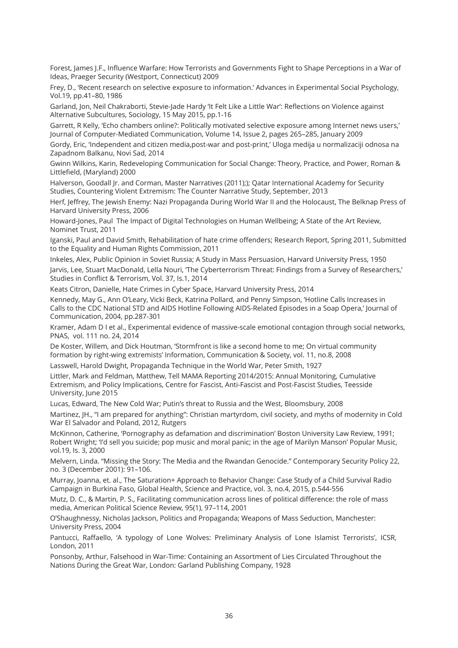Forest, James J.F., Influence Warfare: How Terrorists and Governments Fight to Shape Perceptions in a War of Ideas, Praeger Security (Westport, Connecticut) 2009

Frey, D., 'Recent research on selective exposure to information.' Advances in Experimental Social Psychology, Vol.19, pp.41–80, 1986

Garland, Jon, Neil Chakraborti, Stevie-Jade Hardy 'It Felt Like a Little War': Reflections on Violence against Alternative Subcultures, Sociology, 15 May 2015, pp.1-16

Garrett, R Kelly, 'Echo chambers online?: Politically motivated selective exposure among Internet news users,' Journal of Computer-Mediated Communication, Volume 14, Issue 2, pages 265–285, January 2009

Gordy, Eric, 'Independent and citizen media,post-war and post-print,' Uloga medija u normalizaciji odnosa na Zapadnom Balkanu, Novi Sad, 2014

Gwinn Wilkins, Karin, Redeveloping Communication for Social Change: Theory, Practice, and Power, Roman & Littlefield, (Maryland) 2000

Halverson, Goodall Jr. and Corman, Master Narratives (2011);); Qatar International Academy for Security Studies, Countering Violent Extremism: The Counter Narrative Study, September, 2013

Herf, Jeffrey, The Jewish Enemy: Nazi Propaganda During World War II and the Holocaust, The Belknap Press of Harvard University Press, 2006

Howard-Jones, Paul The Impact of Digital Technologies on Human Wellbeing; A State of the Art Review, Nominet Trust, 2011

Iganski, Paul and David Smith, Rehabilitation of hate crime offenders; Research Report, Spring 2011, Submitted to the Equality and Human Rights Commission, 2011

Inkeles, Alex, Public Opinion in Soviet Russia; A Study in Mass Persuasion, Harvard University Press, 1950 Jarvis, Lee, Stuart MacDonald, Lella Nouri, 'The Cyberterrorism Threat: Findings from a Survey of Researchers,' Studies in Conflict & Terrorism, Vol. 37, Is.1, 2014

Keats Citron, Danielle, Hate Crimes in Cyber Space, Harvard University Press, 2014

Kennedy, May G., Ann O'Leary, Vicki Beck, Katrina Pollard, and Penny Simpson, 'Hotline Calls Increases in Calls to the CDC National STD and AIDS Hotline Following AIDS-Related Episodes in a Soap Opera,' Journal of Communication, 2004, pp.287-301

Kramer, Adam D I et al., Experimental evidence of massive-scale emotional contagion through social networks, PNAS, vol. 111 no. 24, 2014

De Koster, Willem, and Dick Houtman, 'Stormfront is like a second home to me; On virtual community formation by right-wing extremists' Information, Communication & Society, vol. 11, no.8, 2008

Lasswell, Harold Dwight, Propaganda Technique in the World War, Peter Smith, 1927

Littler, Mark and Feldman, Matthew, Tell MAMA Reporting 2014/2015: Annual Monitoring, Cumulative Extremism, and Policy Implications, Centre for Fascist, Anti-Fascist and Post-Fascist Studies, Teesside University, June 2015

Lucas, Edward, The New Cold War; Putin's threat to Russia and the West, Bloomsbury, 2008

Martinez, JH., "I am prepared for anything": Christian martyrdom, civil society, and myths of modernity in Cold War El Salvador and Poland, 2012, Rutgers

McKinnon, Catherine, 'Pornography as defamation and discrimination' Boston University Law Review, 1991; Robert Wright; 'I'd sell you suicide; pop music and moral panic; in the age of Marilyn Manson' Popular Music, vol.19, Is. 3, 2000

Melvern, Linda. "Missing the Story: The Media and the Rwandan Genocide." Contemporary Security Policy 22, no. 3 (December 2001): 91–106.

Murray, Joanna, et. al., The Saturation+ Approach to Behavior Change: Case Study of a Child Survival Radio Campaign in Burkina Faso, Global Health, Science and Practice, vol. 3, no.4, 2015, p.544-556

Mutz, D. C., & Martin, P. S., Facilitating communication across lines of political difference: the role of mass media, American Political Science Review, 95(1), 97–114, 2001

O'Shaughnessy, Nicholas Jackson, Politics and Propaganda; Weapons of Mass Seduction, Manchester: University Press, 2004

Pantucci, Raffaello, 'A typology of Lone Wolves: Preliminary Analysis of Lone Islamist Terrorists', ICSR, London, 2011

Ponsonby, Arthur, Falsehood in War-Time: Containing an Assortment of Lies Circulated Throughout the Nations During the Great War, London: Garland Publishing Company, 1928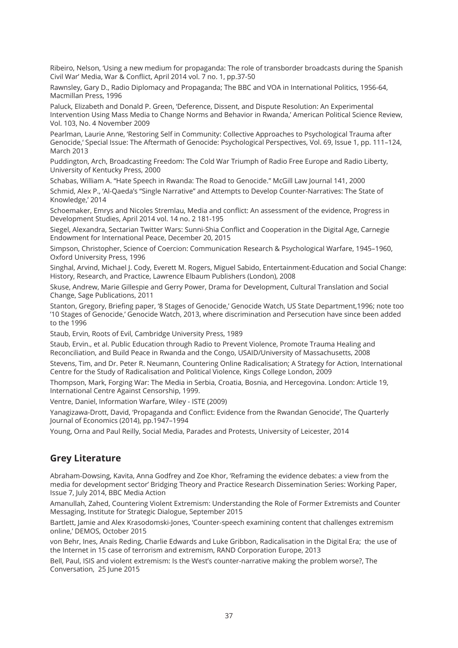Ribeiro, Nelson, 'Using a new medium for propaganda: The role of transborder broadcasts during the Spanish Civil War' Media, War & Conflict, April 2014 vol. 7 no. 1, pp.37-50

Rawnsley, Gary D., Radio Diplomacy and Propaganda; The BBC and VOA in International Politics, 1956-64, Macmillan Press, 1996

Paluck, Elizabeth and Donald P. Green, 'Deference, Dissent, and Dispute Resolution: An Experimental Intervention Using Mass Media to Change Norms and Behavior in Rwanda,' American Political Science Review, Vol. 103, No. 4 November 2009

Pearlman, Laurie Anne, 'Restoring Self in Community: Collective Approaches to Psychological Trauma after Genocide,' Special Issue: The Aftermath of Genocide: Psychological Perspectives, Vol. 69, Issue 1, pp. 111–124, March 2013

Puddington, Arch, Broadcasting Freedom: The Cold War Triumph of Radio Free Europe and Radio Liberty, University of Kentucky Press, 2000

Schabas, William A. "Hate Speech in Rwanda: The Road to Genocide." McGill Law Journal 141, 2000 Schmid, Alex P., 'Al-Qaeda's "Single Narrative" and Attempts to Develop Counter-Narratives: The State of Knowledge,' 2014

Schoemaker, Emrys and Nicoles Stremlau, Media and conflict: An assessment of the evidence, Progress in Development Studies, April 2014 vol. 14 no. 2 181-195

Siegel, Alexandra, Sectarian Twitter Wars: Sunni-Shia Conflict and Cooperation in the Digital Age, Carnegie Endowment for International Peace, December 20, 2015

Simpson, Christopher, Science of Coercion: Communication Research & Psychological Warfare, 1945–1960, Oxford University Press, 1996

Singhal, Arvind, Michael J. Cody, Everett M. Rogers, Miguel Sabido, Entertainment-Education and Social Change: History, Research, and Practice, Lawrence Elbaum Publishers (London), 2008

Skuse, Andrew, Marie Gillespie and Gerry Power, Drama for Development, Cultural Translation and Social Change, Sage Publications, 2011

Stanton, Gregory, Briefing paper, '8 Stages of Genocide,' Genocide Watch, US State Department,1996; note too '10 Stages of Genocide,' Genocide Watch, 2013, where discrimination and Persecution have since been added to the 1996

Staub, Ervin, Roots of Evil, Cambridge University Press, 1989

Staub, Ervin., et al. Public Education through Radio to Prevent Violence, Promote Trauma Healing and Reconciliation, and Build Peace in Rwanda and the Congo, USAID/University of Massachusetts, 2008

Stevens, Tim, and Dr. Peter R. Neumann, Countering Online Radicalisation; A Strategy for Action, International Centre for the Study of Radicalisation and Political Violence, Kings College London, 2009

Thompson, Mark, Forging War: The Media in Serbia, Croatia, Bosnia, and Hercegovina. London: Article 19, International Centre Against Censorship, 1999.

Ventre, Daniel, Information Warfare, Wiley - ISTE (2009)

Yanagizawa-Drott, David, 'Propaganda and Conflict: Evidence from the Rwandan Genocide', The Quarterly Journal of Economics (2014), pp.1947–1994

Young, Orna and Paul Reilly, Social Media, Parades and Protests, University of Leicester, 2014

#### **Grey Literature**

Abraham-Dowsing, Kavita, Anna Godfrey and Zoe Khor, 'Reframing the evidence debates: a view from the media for development sector' Bridging Theory and Practice Research Dissemination Series: Working Paper, Issue 7, July 2014, BBC Media Action

Amanullah, Zahed, Countering Violent Extremism: Understanding the Role of Former Extremists and Counter Messaging, Institute for Strategic Dialogue, September 2015

Bartlett, Jamie and Alex Krasodomski-Jones, 'Counter-speech examining content that challenges extremism online,' DEMOS, October 2015

von Behr, Ines, Anaïs Reding, Charlie Edwards and Luke Gribbon, Radicalisation in the Digital Era; the use of the Internet in 15 case of terrorism and extremism, RAND Corporation Europe, 2013

Bell, Paul, ISIS and violent extremism: Is the West's counter-narrative making the problem worse?, The Conversation, 25 June 2015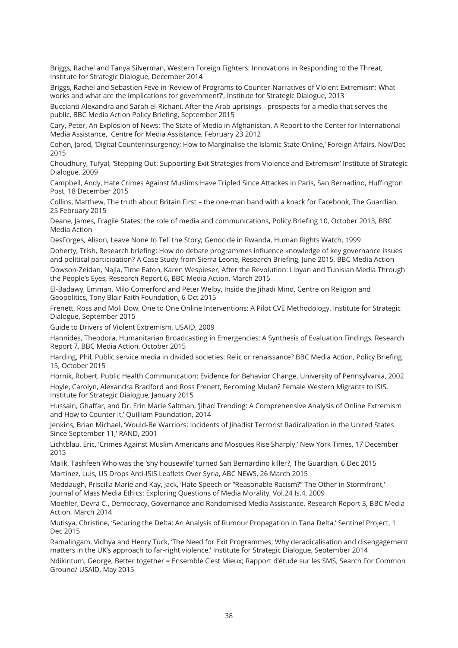Briggs, Rachel and Tanya Silverman, Western Foreign Fighters: Innovations in Responding to the Threat, Institute for Strategic Dialogue, December 2014

Briggs, Rachel and Sebastien Feve in 'Review of Programs to Counter-Narratives of VIolent Extremism: What works and what are the implications for government?', Institute for Strategic Dialogue, 2013

Buccianti Alexandra and Sarah el-Richani, After the Arab uprisings - prospects for a media that serves the public, BBC Media Action Policy Briefing, September 2015

Cary, Peter, An Explosion of News: The State of Media in Afghanistan, A Report to the Center for International Media Assistance, Centre for Media Assistance, February 23 2012

Cohen, Jared, 'Digital Counterinsurgency; How to Marginalise the Islamic State Online,' Foreign Affairs, Nov/Dec 2015

Choudhury, Tufyal, 'Stepping Out: Supporting Exit Strategies from Violence and Extremism' Institute of Strategic Dialogue, 2009

Campbell, Andy, Hate Crimes Against Muslims Have Tripled Since Attackes in Paris, San Bernadino, Huffington Post, 18 December 2015

Collins, Matthew, The truth about Britain First – the one-man band with a knack for Facebook, The Guardian, 25 February 2015

Deane, James, Fragile States: the role of media and communications, Policy Briefing 10, October 2013, BBC Media Action

DesForges, Alison, Leave None to Tell the Story; Genocide in Rwanda, Human Rights Watch, 1999

Doherty, Trish, Research briefing: How do debate programmes influence knowledge of key governance issues and political participation? A Case Study from Sierra Leone, Research Briefing, June 2015, BBC Media Action Dowson-Zeidan, Najla, Time Eaton, Karen Wespieser, After the Revolution: Libyan and Tunisian Media Through the People's Eyes, Research Report 6, BBC Media Action, March 2015

El-Badawy, Emman, Milo Comerford and Peter Welby, Inside the Jihadi Mind, Centre on Religion and Geopolitics, Tony Blair Faith Foundation, 6 Oct 2015

Frenett, Ross and Moli Dow, One to One Online Interventions: A Pilot CVE Methodology, Institute for Strategic Dialogue, September 2015

Guide to Drivers of Violent Extremism, USAID, 2009

Hannides, Theodora, Humanitarian Broadcasting in Emergencies: A Synthesis of Evaluation Findings, Research Report 7, BBC Media Action, October 2015

Harding, Phil, Public service media in divided societies: Relic or renaissance? BBC Media Action, Policy Briefing 15, October 2015

Hornik, Robert, Public Health Communication: Evidence for Behavior Change, University of Pennsylvania, 2002 Hoyle, Carolyn, Alexandra Bradford and Ross Frenett, Becoming Mulan? Female Western Migrants to ISIS, Institute for Strategic Dialogue, January 2015

Hussain, Ghaffar, and Dr. Erin Marie Saltman, 'Jihad Trending: A Comprehensive Analysis of Online Extremism and How to Counter it,' Quilliam Foundation, 2014

Jenkins, Brian Michael, 'Would-Be Warriors: Incidents of Jihadist Terrorist Radicalization in the United States Since September 11,' RAND, 2001

Lichtblau, Eric, 'Crimes Against Muslim Americans and Mosques Rise Sharply,' New York Times, 17 December 2015

Malik, Tashfeen Who was the 'shy housewife' turned San Bernardino killer?, The Guardian, 6 Dec 2015 Martinez, Luis, US Drops Anti-ISIS Leaflets Over Syria, ABC NEWS, 26 March 2015

Meddaugh, Priscilla Marie and Kay, Jack, 'Hate Speech or "Reasonable Racism?" The Other in Stormfront,' Journal of Mass Media Ethics: Exploring Questions of Media Morality, Vol.24 Is.4, 2009

Moehler, Devra C., Democracy, Governance and Randomised Media Assistance, Research Report 3, BBC Media Action, March 2014

Mutisya, Christine, 'Securing the Delta: An Analysis of Rumour Propagation in Tana Delta,' Sentinel Project, 1 Dec 2015

Ramalingam, Vidhya and Henry Tuck, 'The Need for Exit Programmes; Why deradicalisation and disengagement matters in the UK's approach to far-right violence,' Institute for Strategic Dialogue, September 2014

Ndikintum, George, Better together = Ensemble C'est Mieux; Rapport d'étude sur les SMS, Search For Common Ground/ USAID, May 2015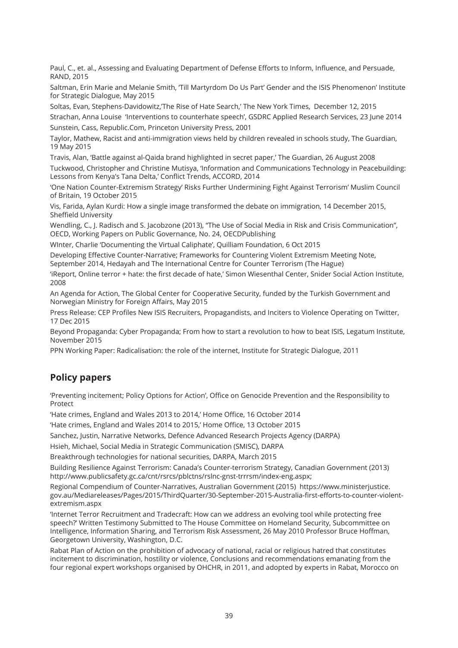Paul, C., et. al., Assessing and Evaluating Department of Defense Efforts to Inform, Influence, and Persuade, RAND, 2015

Saltman, Erin Marie and Melanie Smith, 'Till Martyrdom Do Us Part' Gender and the ISIS Phenomenon' Institute for Strategic Dialogue, May 2015

Soltas, Evan, Stephens-Davidowitz,'The Rise of Hate Search,' The New York Times, December 12, 2015 Strachan, Anna Louise 'Interventions to counterhate speech', GSDRC Applied Research Services, 23 June 2014

Sunstein, Cass, Republic.Com, Princeton University Press, 2001

Taylor, Mathew, Racist and anti-immigration views held by children revealed in schools study, The Guardian, 19 May 2015

Travis, Alan, 'Battle against al-Qaida brand highlighted in secret paper,' The Guardian, 26 August 2008

Tuckwood, Christopher and Christine Mutisya, 'Information and Communications Technology in Peacebuilding: Lessons from Kenya's Tana Delta,' Conflict Trends, ACCORD, 2014

'One Nation Counter-Extremism Strategy' Risks Further Undermining Fight Against Terrorism' Muslim Council of Britain, 19 October 2015

Vis, Farida, Aylan Kurdi: How a single image transformed the debate on immigration, 14 December 2015, Sheffield University

Wendling, C., J. Radisch and S. Jacobzone (2013), "The Use of Social Media in Risk and Crisis Communication", OECD, Working Papers on Public Governance, No. 24, OECDPublishing

WInter, Charlie 'Documenting the Virtual Caliphate', Quilliam Foundation, 6 Oct 2015

Developing Effective Counter-Narrative; Frameworks for Countering Violent Extremism Meeting Note, September 2014, Hedayah and The International Centre for Counter Terrorism (The Hague)

'iReport, Online terror + hate: the first decade of hate,' Simon Wiesenthal Center, Snider Social Action Institute, 2008

An Agenda for Action, The Global Center for Cooperative Security, funded by the Turkish Government and Norwegian Ministry for Foreign Affairs, May 2015

Press Release: CEP Profiles New ISIS Recruiters, Propagandists, and Inciters to Violence Operating on Twitter, 17 Dec 2015

Beyond Propaganda: Cyber Propaganda; From how to start a revolution to how to beat ISIS, Legatum Institute, November 2015

PPN Working Paper: Radicalisation: the role of the internet, Institute for Strategic Dialogue, 2011

# **Policy papers**

'Preventing incitement; Policy Options for Action', Office on Genocide Prevention and the Responsibility to Protect

'Hate crimes, England and Wales 2013 to 2014,' Home Office, 16 October 2014

'Hate crimes, England and Wales 2014 to 2015,' Home Office, 13 October 2015

Sanchez, Justin, Narrative Networks, Defence Advanced Research Projects Agency (DARPA)

Hsieh, Michael, Social Media in Strategic Communication (SMISC), DARPA

Breakthrough technologies for national securities, DARPA, March 2015

Building Resilience Against Terrorism: Canada's Counter-terrorism Strategy, Canadian Government (2013) http://www.publicsafety.gc.ca/cnt/rsrcs/pblctns/rslnc-gnst-trrrsm/index-eng.aspx;

Regional Compendium of Counter-Narratives, Australian Government (2015) https://www.ministerjustice. gov.au/Mediareleases/Pages/2015/ThirdQuarter/30-September-2015-Australia-first-efforts-to-counter-violentextremism.aspx

'Internet Terror Recruitment and Tradecraft: How can we address an evolving tool while protecting free speech?' Written Testimony Submitted to The House Committee on Homeland Security, Subcommittee on Intelligence, Information Sharing, and Terrorism Risk Assessment, 26 May 2010 Professor Bruce Hoffman, Georgetown University, Washington, D.C.

Rabat Plan of Action on the prohibition of advocacy of national, racial or religious hatred that constitutes incitement to discrimination, hostility or violence, Conclusions and recommendations emanating from the four regional expert workshops organised by OHCHR, in 2011, and adopted by experts in Rabat, Morocco on